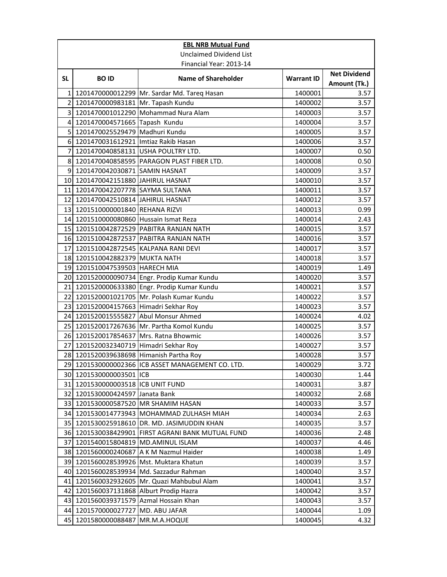|                 |                                        | <b>EBL NRB Mutual Fund</b>                        |                   |                                     |
|-----------------|----------------------------------------|---------------------------------------------------|-------------------|-------------------------------------|
|                 |                                        | <b>Unclaimed Dividend List</b>                    |                   |                                     |
|                 |                                        | Financial Year: 2013-14                           |                   |                                     |
| <b>SL</b>       | <b>BOID</b>                            | <b>Name of Shareholder</b>                        | <b>Warrant ID</b> | <b>Net Dividend</b><br>Amount (Tk.) |
| $\mathbf{1}$    |                                        | 1201470000012299 Mr. Sardar Md. Tareq Hasan       | 1400001           | 3.57                                |
| $\overline{2}$  | 1201470000983181 Mr. Tapash Kundu      |                                                   | 1400002           | 3.57                                |
| 3               |                                        | 1201470001012290 Mohammad Nura Alam               | 1400003           | 3.57                                |
| 4               | 1201470004571665 Tapash Kundu          |                                                   | 1400004           | 3.57                                |
| 5               | 1201470025529479 Madhuri Kundu         |                                                   | 1400005           | 3.57                                |
| 6I              | 1201470031612921 Imtiaz Rakib Hasan    |                                                   | 1400006           | 3.57                                |
| 7               |                                        | 1201470040858131 USHA POULTRY LTD.                | 1400007           | 0.50                                |
| 8               |                                        | 1201470040858595   PARAGON PLAST FIBER LTD.       | 1400008           | 0.50                                |
| 9               | 1201470042030871 SAMIN HASNAT          |                                                   | 1400009           | 3.57                                |
| 10 <sup>1</sup> | 1201470042151880 JAHIRUL HASNAT        |                                                   | 1400010           | 3.57                                |
| 11              | 1201470042207778 SAYMA SULTANA         |                                                   | 1400011           | 3.57                                |
| 12              | 1201470042510814 JAHIRUL HASNAT        |                                                   | 1400012           | 3.57                                |
| 13              | 1201510000001840 REHANA RIZVI          |                                                   | 1400013           | 0.99                                |
| 14              | 1201510000080860 Hussain Ismat Reza    |                                                   | 1400014           | 2.43                                |
| 15 <sup>1</sup> |                                        | 1201510042872529 PABITRA RANJAN NATH              | 1400015           | 3.57                                |
| 16              |                                        | 1201510042872537 PABITRA RANJAN NATH              | 1400016           | 3.57                                |
| 17              |                                        | 1201510042872545 KALPANA RANI DEVI                | 1400017           | 3.57                                |
| 18              | 1201510042882379 MUKTA NATH            |                                                   | 1400018           | 3.57                                |
|                 | 19 1201510047539503 HARECH MIA         |                                                   | 1400019           | 1.49                                |
|                 |                                        | 20 1201520000090734 Engr. Prodip Kumar Kundu      | 1400020           | 3.57                                |
| 21              |                                        | 1201520000633380 Engr. Prodip Kumar Kundu         | 1400021           | 3.57                                |
| 22              |                                        | 1201520001021705 Mr. Polash Kumar Kundu           | 1400022           | 3.57                                |
| 23              | 1201520004157663 Himadri Sekhar Roy    |                                                   | 1400023           | 3.57                                |
| 24              |                                        | 1201520015555827 Abul Monsur Ahmed                | 1400024           | 4.02                                |
| 25              |                                        | 1201520017267636 Mr. Partha Komol Kundu           | 1400025           | 3.57                                |
|                 | 26 1201520017854637 Mrs. Ratna Bhowmic |                                                   | 1400026           | 3.57                                |
| 27              | 1201520032340719 Himadri Sekhar Roy    |                                                   | 1400027           | 3.57                                |
| 28              | 1201520039638698 Himanish Partha Roy   |                                                   | 1400028           | 3.57                                |
|                 |                                        | 29 1201530000002366 ICB ASSET MANAGEMENT CO. LTD. | 1400029           | 3.72                                |
|                 | 30 1201530000003501 ICB                |                                                   | 1400030           | 1.44                                |
| 31              | 1201530000003518 ICB UNIT FUND         |                                                   | 1400031           | 3.87                                |
| 32              | 1201530000424597 Janata Bank           |                                                   | 1400032           | 2.68                                |
| 33              |                                        | 1201530000587520 MR SHAMIM HASAN                  | 1400033           | 3.57                                |
| 34              |                                        | 1201530014773943 MOHAMMAD ZULHASH MIAH            | 1400034           | 2.63                                |
| 35              |                                        | 1201530025918610 DR. MD. JASIMUDDIN KHAN          | 1400035           | 3.57                                |
|                 |                                        | 36 1201530038429901 FIRST AGRANI BANK MUTUAL FUND | 1400036           | 2.48                                |
| 37              | 1201540015804819                       | MD.AMINUL ISLAM                                   | 1400037           | 4.46                                |
|                 |                                        | 38 1201560000240687 A K M Nazmul Haider           | 1400038           | 1.49                                |
| 39              |                                        | 1201560028539926 Mst. Muktara Khatun              | 1400039           | 3.57                                |
| 40              |                                        | 1201560028539934 Md. Sazzadur Rahman              | 1400040           | 3.57                                |
| 41              | 1201560032932605                       | Mr. Quazi Mahbubul Alam                           | 1400041           | 3.57                                |
| 42              | 1201560037131868 Alburt Prodip Hazra   |                                                   | 1400042           | 3.57                                |
| 43              | 1201560039371579 Azmal Hossain Khan    |                                                   | 1400043           | 3.57                                |
| 44              | 1201570000027727                       | MD. ABU JAFAR                                     | 1400044           | 1.09                                |
| 45              | 1201580000088487                       | MR.M.A.HOQUE                                      | 1400045           | 4.32                                |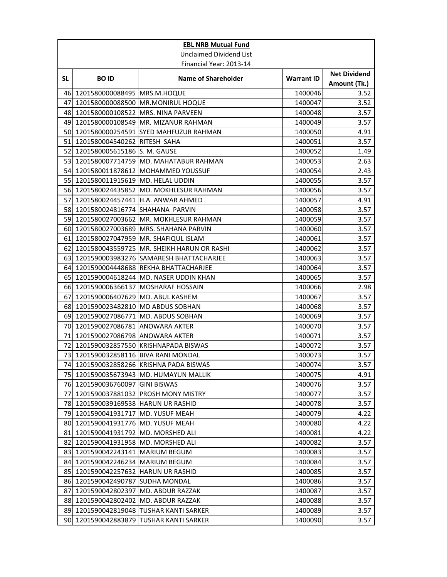|           |                                      | <b>EBL NRB Mutual Fund</b>                   |                   |                                     |
|-----------|--------------------------------------|----------------------------------------------|-------------------|-------------------------------------|
|           |                                      | <b>Unclaimed Dividend List</b>               |                   |                                     |
|           |                                      | Financial Year: 2013-14                      |                   |                                     |
| <b>SL</b> | <b>BOID</b>                          | <b>Name of Shareholder</b>                   | <b>Warrant ID</b> | <b>Net Dividend</b><br>Amount (Tk.) |
| 461       | 1201580000088495 MRS.M.HOQUE         |                                              | 1400046           | 3.52                                |
| 47        |                                      | 1201580000088500 MR.MONIRUL HOQUE            | 1400047           | 3.52                                |
| 48        | 1201580000108522   MRS. NINA PARVEEN |                                              | 1400048           | 3.57                                |
| 49        |                                      | 1201580000108549 MR. MIZANUR RAHMAN          | 1400049           | 3.57                                |
| 50        |                                      | 1201580000254591 SYED MAHFUZUR RAHMAN        | 1400050           | 4.91                                |
| 51        | 1201580004540262 RITESH SAHA         |                                              | 1400051           | 3.57                                |
| 52        | 1201580005615186 S. M. GAUSE         |                                              | 1400052           | 1.49                                |
| 53        |                                      | 1201580007714759 MD. MAHATABUR RAHMAN        | 1400053           | 2.63                                |
|           |                                      | 54 1201580011878612 MOHAMMED YOUSSUF         | 1400054           | 2.43                                |
|           | 55 1201580011915619 MD. HELAL UDDIN  |                                              | 1400055           | 3.57                                |
|           |                                      | 56 1201580024435852 MD. MOKHLESUR RAHMAN     | 1400056           | 3.57                                |
| 57        |                                      | 1201580024457441 H.A. ANWAR AHMED            | 1400057           | 4.91                                |
|           | 58 1201580024816774 SHAHANA PARVIN   |                                              | 1400058           | 3.57                                |
| 59        |                                      | 1201580027003662 MR. MOKHLESUR RAHMAN        | 1400059           | 3.57                                |
| 60        |                                      | 1201580027003689 MRS. SHAHANA PARVIN         | 1400060           | 3.57                                |
| 61        |                                      | 1201580027047959 MR. SHAFIQUL ISLAM          | 1400061           | 3.57                                |
| 62        |                                      | 1201580043559725   MR. SHEIKH HARUN OR RASHI | 1400062           | 3.57                                |
| 63        |                                      | 1201590003983276 SAMARESH BHATTACHARJEE      | 1400063           | 3.57                                |
| 64        |                                      | 1201590004448688 REKHA BHATTACHARJEE         | 1400064           | 3.57                                |
| 65        |                                      | 1201590004618244 MD. NASER UDDIN KHAN        | 1400065           | 3.57                                |
| 66        |                                      | 1201590006366137 MOSHARAF HOSSAIN            | 1400066           | 2.98                                |
| 67        | 1201590006407629 MD. ABUL KASHEM     |                                              | 1400067           | 3.57                                |
| 68        | 1201590023482810 MD ABDUS SOBHAN     |                                              | 1400068           | 3.57                                |
| 69        | 1201590027086771   MD. ABDUS SOBHAN  |                                              | 1400069           | 3.57                                |
| 70        | 1201590027086781 ANOWARA AKTER       |                                              | 1400070           | 3.57                                |
| 71        | 1201590027086798 ANOWARA AKTER       |                                              | 1400071           | 3.57                                |
| 72        |                                      | 1201590032857550 KRISHNAPADA BISWAS          | 1400072           | 3.57                                |
| 73        | 1201590032858116 BIVA RANI MONDAL    |                                              | 1400073           | 3.57                                |
|           |                                      | 74 1201590032858266 KRISHNA PADA BISWAS      | 1400074           | 3.57                                |
| 75        |                                      | 1201590035673943 MD. HUMAYUN MALLIK          | 1400075           | 4.91                                |
|           | 76 1201590036760097 GINI BISWAS      |                                              | 1400076           | 3.57                                |
| 77        |                                      | 1201590037881032 PROSH MONY MISTRY           | 1400077           | 3.57                                |
|           | 78 1201590039169538 HARUN UR RASHID  |                                              | 1400078           | 3.57                                |
| 79        | 1201590041931717 MD. YUSUF MEAH      |                                              | 1400079           | 4.22                                |
| 80        | 1201590041931776 MD. YUSUF MEAH      |                                              | 1400080           | 4.22                                |
| 81        | 1201590041931792 MD. MORSHED ALI     |                                              | 1400081           | 4.22                                |
| 82        | 1201590041931958 MD. MORSHED ALI     |                                              | 1400082           | 3.57                                |
|           | 83 1201590042243141 MARIUM BEGUM     |                                              | 1400083           | 3.57                                |
| 84        | 1201590042246234   MARIUM BEGUM      |                                              | 1400084           | 3.57                                |
| 85        | 1201590042257632 HARUN UR RASHID     |                                              | 1400085           | 3.57                                |
| 86        | 1201590042490787 SUDHA MONDAL        |                                              | 1400086           | 3.57                                |
| 87        | 1201590042802397 MD. ABDUR RAZZAK    |                                              | 1400087           | 3.57                                |
| 88        | 1201590042802402 MD. ABDUR RAZZAK    |                                              | 1400088           | 3.57                                |
| 89        |                                      | 1201590042819048 TUSHAR KANTI SARKER         | 1400089           | 3.57                                |
| 90        | 1201590042883879                     | <b>TUSHAR KANTI SARKER</b>                   | 1400090           | 3.57                                |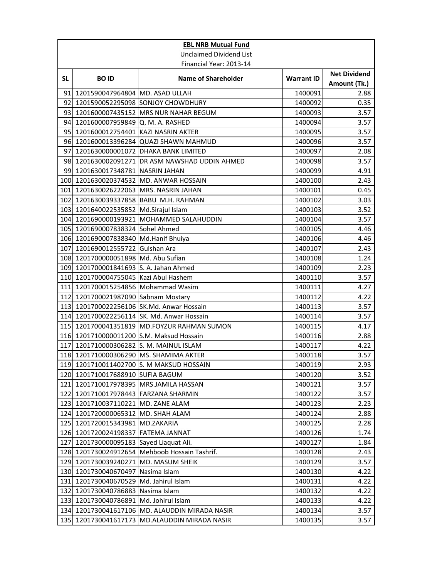|           | <b>EBL NRB Mutual Fund</b>              |                                                |                   |                                     |  |  |
|-----------|-----------------------------------------|------------------------------------------------|-------------------|-------------------------------------|--|--|
|           |                                         | <b>Unclaimed Dividend List</b>                 |                   |                                     |  |  |
|           | Financial Year: 2013-14                 |                                                |                   |                                     |  |  |
| <b>SL</b> | <b>BOID</b>                             | <b>Name of Shareholder</b>                     | <b>Warrant ID</b> | <b>Net Dividend</b><br>Amount (Tk.) |  |  |
| 91        | 1201590047964804 MD. ASAD ULLAH         |                                                | 1400091           | 2.88                                |  |  |
| 92        |                                         | 1201590052295098 SONJOY CHOWDHURY              | 1400092           | 0.35                                |  |  |
| 93        |                                         | 1201600007435152 MRS NUR NAHAR BEGUM           | 1400093           | 3.57                                |  |  |
|           | 94 1201600007959849                     | Q. M. A. RASHED                                | 1400094           | 3.57                                |  |  |
|           | 95 1201600012754401 KAZI NASRIN AKTER   |                                                | 1400095           | 3.57                                |  |  |
|           |                                         | 96 1201600013396284 QUAZI SHAWN MAHMUD         | 1400096           | 3.57                                |  |  |
| 97        |                                         | 1201630000001072 DHAKA BANK LIMITED            | 1400097           | 2.08                                |  |  |
|           |                                         | 98 1201630002091271 DR ASM NAWSHAD UDDIN AHMED | 1400098           | 3.57                                |  |  |
|           | 99 1201630017348781 NASRIN JAHAN        |                                                | 1400099           | 4.91                                |  |  |
|           |                                         | 100 1201630020374532 MD. ANWAR HOSSAIN         | 1400100           | 2.43                                |  |  |
| 101       |                                         | 1201630026222063 MRS. NASRIN JAHAN             | 1400101           | 0.45                                |  |  |
|           |                                         | 102 1201630039337858 BABU M.H. RAHMAN          | 1400102           | 3.03                                |  |  |
|           | 103 1201640022535852 Md.Sirajul Islam   |                                                | 1400103           | 3.52                                |  |  |
|           |                                         | 104 1201690000193921 MOHAMMED SALAHUDDIN       | 1400104           | 3.57                                |  |  |
|           | 105 1201690007838324 Sohel Ahmed        |                                                | 1400105           | 4.46                                |  |  |
|           | 106 1201690007838340 Md.Hanif Bhuiya    |                                                | 1400106           | 4.46                                |  |  |
| 107       | 1201690012555722 Gulshan Ara            |                                                | 1400107           | 2.43                                |  |  |
|           | 108 1201700000051898 Md. Abu Sufian     |                                                | 1400108           | 1.24                                |  |  |
|           | 109 1201700001841693 S. A. Jahan Ahmed  |                                                | 1400109           | 2.23                                |  |  |
|           | 110 1201700004755045 Kazi Abul Hashem   |                                                | 1400110           | 3.57                                |  |  |
|           | 111 1201700015254856 Mohammad Wasim     |                                                | 1400111           | 4.27                                |  |  |
|           | 112 1201700021987090 Sabnam Mostary     |                                                | 1400112           | 4.22                                |  |  |
| 113       |                                         | 1201700022256106 SK.Md. Anwar Hossain          | 1400113           | 3.57                                |  |  |
| 114       |                                         | 1201700022256114 SK. Md. Anwar Hossain         | 1400114           | 3.57                                |  |  |
|           |                                         | 115 1201700041351819 MD.FOYZUR RAHMAN SUMON    | 1400115           | 4.17                                |  |  |
|           |                                         | 116 1201710000011200 S.M. Maksud Hossain       | 1400116           | 2.88                                |  |  |
| 117       | 1201710000306282 S. M. MAINUL ISLAM     |                                                | 1400117           | 4.22                                |  |  |
|           |                                         | 118 1201710000306290 MS. SHAMIMA AKTER         | 1400118           | 3.57                                |  |  |
|           |                                         | 119 1201710011402700 S. M MAKSUD HOSSAIN       | 1400119           | 2.93                                |  |  |
|           | 120 1201710017688910 SUFIA BAGUM        |                                                | 1400120           | 3.52                                |  |  |
| 121       |                                         | 1201710017978395   MRS.JAMILA HASSAN           | 1400121           | 3.57                                |  |  |
| 122       | 1201710017978443 FARZANA SHARMIN        |                                                | 1400122           | 3.57                                |  |  |
|           | 123 1201710037110221 MD. ZANE ALAM      |                                                | 1400123           | 2.23                                |  |  |
|           | 124 1201720000065312 MD. SHAH ALAM      |                                                | 1400124           | 2.88                                |  |  |
|           | 125 1201720015343981 MD.ZAKARIA         |                                                | 1400125           | 2.28                                |  |  |
|           | 126 1201720024198337 FATEMA JANNAT      |                                                | 1400126           | 1.74                                |  |  |
|           | 127 1201730000095183 Sayed Liaguat Ali. |                                                | 1400127           | 1.84                                |  |  |
|           |                                         | 128 1201730024912654 Mehboob Hossain Tashrif.  | 1400128           | 2.43                                |  |  |
|           | 129 1201730039240271 MD. MASUM SHEIK    |                                                | 1400129           | 3.57                                |  |  |
| 130       | 1201730040670497 Nasima Islam           |                                                | 1400130           | 4.22                                |  |  |
| 131       | 1201730040670529                        | Md. Jahirul Islam                              | 1400131           | 4.22                                |  |  |
| 132       | 1201730040786883                        | Nasima Islam                                   | 1400132           | 4.22                                |  |  |
| 133       | 1201730040786891 Md. Johirul Islam      |                                                | 1400133           | 4.22                                |  |  |
| 134       |                                         | 1201730041617106 MD. ALAUDDIN MIRADA NASIR     | 1400134           | 3.57                                |  |  |
| 135       | 1201730041617173                        | MD.ALAUDDIN MIRADA NASIR                       | 1400135           | 3.57                                |  |  |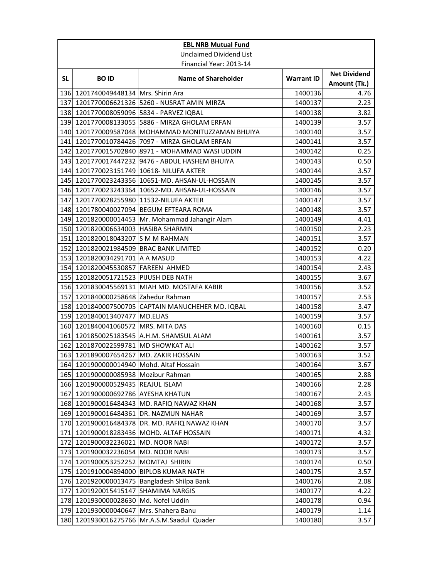|            | <b>EBL NRB Mutual Fund</b>               |                                                   |                   |                                     |  |
|------------|------------------------------------------|---------------------------------------------------|-------------------|-------------------------------------|--|
|            |                                          | <b>Unclaimed Dividend List</b>                    |                   |                                     |  |
|            | Financial Year: 2013-14                  |                                                   |                   |                                     |  |
| <b>SL</b>  | <b>BOID</b>                              | <b>Name of Shareholder</b>                        | <b>Warrant ID</b> | <b>Net Dividend</b><br>Amount (Tk.) |  |
| <b>136</b> | 1201740049448134 Mrs. Shirin Ara         |                                                   | 1400136           | 4.76                                |  |
|            |                                          | 137 1201770006621326 5260 - NUSRAT AMIN MIRZA     | 1400137           | 2.23                                |  |
|            |                                          | 138 1201770008059096 5834 - PARVEZ IQBAL          | 1400138           | 3.82                                |  |
|            |                                          | 139 1201770008133055 5886 - MIRZA GHOLAM ERFAN    | 1400139           | 3.57                                |  |
|            |                                          | 140 1201770009587048 MOHAMMAD MONITUZZAMAN BHUIYA | 1400140           | 3.57                                |  |
| 141        |                                          | 1201770010784426 7097 - MIRZA GHOLAM ERFAN        | 1400141           | 3.57                                |  |
| 142        |                                          | 1201770015702840 8971 - MOHAMMAD WASI UDDIN       | 1400142           | 0.25                                |  |
|            |                                          | 143 1201770017447232 9476 - ABDUL HASHEM BHUIYA   | 1400143           | 0.50                                |  |
|            |                                          | 144 1201770023151749 10618- NILUFA AKTER          | 1400144           | 3.57                                |  |
|            |                                          | 145 1201770023243356 10651-MD. AHSAN-UL-HOSSAIN   | 1400145           | 3.57                                |  |
|            |                                          | 146 1201770023243364 10652-MD. AHSAN-UL-HOSSAIN   | 1400146           | 3.57                                |  |
| 147        |                                          | 1201770028255980 11532-NILUFA AKTER               | 1400147           | 3.57                                |  |
|            |                                          | 148 1201780040027094 BEGUM EFTEARA ROMA           | 1400148           | 3.57                                |  |
|            |                                          | 149 1201820000014453 Mr. Mohammad Jahangir Alam   | 1400149           | 4.41                                |  |
|            | 150 1201820006634003 HASIBA SHARMIN      |                                                   | 1400150           | 2.23                                |  |
| 151        | 1201820018043207 S M M RAHMAN            |                                                   | 1400151           | 3.57                                |  |
|            | 152 1201820021984509 BRAC BANK LIMITED   |                                                   | 1400152           | 0.20                                |  |
|            | 153 1201820034291701 A A MASUD           |                                                   | 1400153           | 4.22                                |  |
|            | 154 1201820045530857 FAREEN AHMED        |                                                   | 1400154           | 2.43                                |  |
|            | 155 1201820051721523 PIJUSH DEB NATH     |                                                   | 1400155           | 3.67                                |  |
|            |                                          | 156 1201830045569131 MIAH MD. MOSTAFA KABIR       | 1400156           | 3.52                                |  |
| 157        | 1201840000258648 Zahedur Rahman          |                                                   | 1400157           | 2.53                                |  |
| 158        | 1201840007500705                         | CAPTAIN MANUCHEHER MD. IQBAL                      | 1400158           | 3.47                                |  |
|            | 159 1201840013407477 MD.ELIAS            |                                                   | 1400159           | 3.57                                |  |
|            | 160 1201840041060572 MRS. MITA DAS       |                                                   | 1400160           | 0.15                                |  |
| 161        |                                          | 1201850025183545 A.H.M. SHAMSUL ALAM              | 1400161           | 3.57                                |  |
| 162        | 1201870022599781 MD SHOWKAT ALI          |                                                   | 1400162           | 3.57                                |  |
|            | 163 1201890007654267 MD. ZAKIR HOSSAIN   |                                                   | 1400163           | 3.52                                |  |
|            | 164 1201900000014940 Mohd. Altaf Hossain |                                                   | 1400164           | 3.67                                |  |
|            | 165 1201900000085938 Mozibur Rahman      |                                                   | 1400165           | 2.88                                |  |
|            | 166 1201900000529435 REAJUL ISLAM        |                                                   | 1400166           | 2.28                                |  |
| 167        | 1201900000692786 AYESHA KHATUN           |                                                   | 1400167           | 2.43                                |  |
|            |                                          | 168 1201900016484343 MD. RAFIQ NAWAZ KHAN         | 1400168           | 3.57                                |  |
|            |                                          | 169 1201900016484361 DR. NAZMUN NAHAR             | 1400169           | 3.57                                |  |
|            |                                          | 170 1201900016484378 DR. MD. RAFIQ NAWAZ KHAN     | 1400170           | 3.57                                |  |
| 171        |                                          | 1201900018283436 MOHD. ALTAF HOSSAIN              | 1400171           | 4.32                                |  |
|            | 172 1201900032236021                     | MD. NOOR NABI                                     | 1400172           | 3.57                                |  |
|            | 173 1201900032236054 MD. NOOR NABI       |                                                   | 1400173           | 3.57                                |  |
|            | 174 1201900053252252 MOMTAJ SHIRIN       |                                                   | 1400174           | 0.50                                |  |
| 175        |                                          | 1201910004894000 BIPLOB KUMAR NATH                | 1400175           | 3.57                                |  |
|            |                                          | 176 1201920000013475 Bangladesh Shilpa Bank       | 1400176           | 2.08                                |  |
| 177        | 1201920015415147 SHAMIMA NARGIS          |                                                   | 1400177           | 4.22                                |  |
|            | 178 1201930000028630 Md. Nofel Uddin     |                                                   | 1400178           | 0.94                                |  |
|            | 179 1201930000040647                     | Mrs. Shahera Banu                                 | 1400179           | 1.14                                |  |
| 180        |                                          | 1201930016275766   Mr.A.S.M.Saadul Quader         | 1400180           | 3.57                                |  |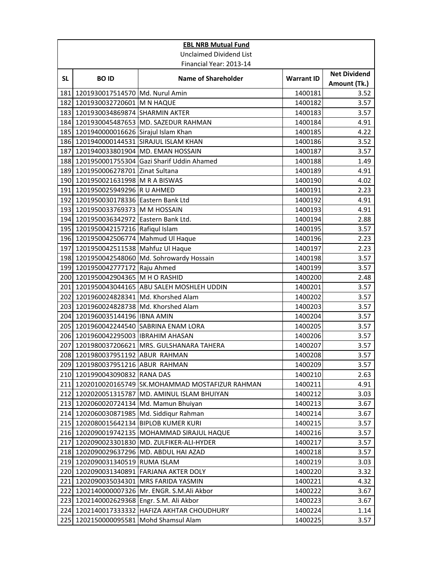|           |                                           | <b>EBL NRB Mutual Fund</b>                     |                    |                                     |
|-----------|-------------------------------------------|------------------------------------------------|--------------------|-------------------------------------|
|           |                                           | <b>Unclaimed Dividend List</b>                 |                    |                                     |
|           |                                           | Financial Year: 2013-14                        |                    |                                     |
| <b>SL</b> | <b>BOID</b>                               | <b>Name of Shareholder</b>                     | <b>Warrant ID</b>  | <b>Net Dividend</b><br>Amount (Tk.) |
| 181       | 1201930017514570 Md. Nurul Amin           |                                                | 1400181            | 3.52                                |
|           | 182 1201930032720601 M N HAQUE            |                                                | 1400182            | 3.57                                |
|           | 183 1201930034869874 SHARMIN AKTER        |                                                | 1400183            | 3.57                                |
|           |                                           | 184 1201930045487653 MD. SAZEDUR RAHMAN        | 1400184            | 4.91                                |
| 185       | 1201940000016626 Sirajul Islam Khan       |                                                | 1400185            | 4.22                                |
|           |                                           | 186 1201940000144531 SIRAJUL ISLAM KHAN        | 1400186            | 3.52                                |
| 187       |                                           | 1201940033801904 MD. EMAN HOSSAIN              | 1400187            | 3.57                                |
|           |                                           | 188 1201950001755304 Gazi Sharif Uddin Ahamed  | 1400188            | 1.49                                |
|           | 189 1201950006278701 Zinat Sultana        |                                                | 1400189            | 4.91                                |
|           | 190 1201950021631998 M R A BISWAS         |                                                | 1400190            | 4.02                                |
| 191       | 1201950025949296 R U AHMED                |                                                | 1400191            | 2.23                                |
|           | 192 1201950030178336 Eastern Bank Ltd     |                                                | 1400192            | 4.91                                |
|           | 193 1201950033769373 M M HOSSAIN          |                                                | 1400193            | 4.91                                |
| 194       | 1201950036342972 Eastern Bank Ltd.        |                                                | 1400194            | 2.88                                |
| 195       | 1201950042157216 Rafiqul Islam            |                                                | 1400195            | 3.57                                |
|           | 196 1201950042506774 Mahmud Ul Haque      |                                                | 1400196            | 2.23                                |
| 197       | 1201950042511538 Mahfuz Ul Haque          |                                                | 1400197            | 2.23                                |
|           |                                           | 198 1201950042548060 Md. Sohrowardy Hossain    | 1400198            | 3.57                                |
|           | 199 1201950042777172 Raju Ahmed           |                                                | 1400199            | 3.57                                |
|           | 200 1201950042904365 M H O RASHID         |                                                | 1400200            | 2.48                                |
|           |                                           | 201 1201950043044165 ABU SALEH MOSHLEH UDDIN   | 1400201            | 3.57                                |
| 202       | 1201960024828341 Md. Khorshed Alam        |                                                | 1400202            | 3.57                                |
| 203       | 1201960024828738 Md. Khorshed Alam        |                                                | 1400203            | 3.57                                |
| 204       | 1201960035144196 IBNA AMIN                |                                                | 1400204            | 3.57                                |
|           |                                           | 205 1201960042244540 SABRINA ENAM LORA         | 1400205            | 3.57                                |
| 206       | 1201960042295003 IBRAHIM AHASAN           |                                                | 1400206            | 3.57                                |
| 207       |                                           | 1201980037206621 MRS. GULSHANARA TAHERA        | 1400207            | 3.57                                |
|           | 208 1201980037951192 ABUR RAHMAN          |                                                | 1400208            | 3.57                                |
|           | 209 1201980037951216 ABUR RAHMAN          |                                                | 1400209            | 3.57                                |
|           | 210 1201990043090832 RANA DAS             |                                                | 1400210            | 2.63                                |
| 211       |                                           | 1202010020165749 SK.MOHAMMAD MOSTAFIZUR RAHMAN | 1400211            | 4.91                                |
| 212       |                                           | 1202020051315787 MD. AMINUL ISLAM BHUIYAN      | 1400212            | 3.03                                |
|           |                                           | 213 1202060020724134 Md. Mamun Bhuiyan         | 1400213            | 3.67                                |
|           |                                           | 214 1202060030871985 Md. Siddiqur Rahman       | 1400214            | 3.67                                |
|           | 215 1202080015642134 BIPLOB KUMER KURI    |                                                | 1400215            | 3.57                                |
|           |                                           | 216 1202090019742135 MOHAMMAD SIRAJUL HAQUE    | 1400216            | 3.57                                |
| 217       |                                           | 1202090023301830 MD. ZULFIKER-ALI-HYDER        | 1400217            | 3.57                                |
|           | 219 1202090031340519 RUMA ISLAM           | 218 1202090029637296 MD. ABDUL HAI AZAD        | 1400218            | 3.57                                |
|           |                                           | 220 1202090031340891 FARJANA AKTER DOLY        | 1400219<br>1400220 | 3.03<br>3.32                        |
| 221       |                                           | 1202090035034301 MRS FARIDA YASMIN             | 1400221            | 4.32                                |
|           |                                           | 222 1202140000007326 Mr. ENGR. S.M.Ali Akbor   | 1400222            | 3.67                                |
|           | 223 1202140002629368 Engr. S.M. Ali Akbor |                                                | 1400223            | 3.67                                |
| 224       |                                           | 1202140017333332 HAFIZA AKHTAR CHOUDHURY       | 1400224            | 1.14                                |
| 225       | 1202150000095581 Mohd Shamsul Alam        |                                                | 1400225            | 3.57                                |
|           |                                           |                                                |                    |                                     |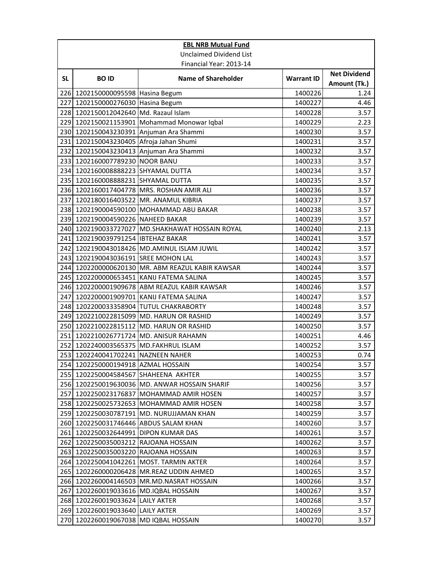|            | <b>EBL NRB Mutual Fund</b>                                           |                                                                               |                    |                                     |  |
|------------|----------------------------------------------------------------------|-------------------------------------------------------------------------------|--------------------|-------------------------------------|--|
|            |                                                                      | <b>Unclaimed Dividend List</b>                                                |                    |                                     |  |
|            |                                                                      | Financial Year: 2013-14                                                       |                    |                                     |  |
| <b>SL</b>  | <b>BOID</b>                                                          | <b>Name of Shareholder</b>                                                    | <b>Warrant ID</b>  | <b>Net Dividend</b><br>Amount (Tk.) |  |
| 226        | 1202150000095598 Hasina Begum                                        |                                                                               | 1400226            | 1.24                                |  |
|            | 227 1202150000276030 Hasina Begum                                    |                                                                               | 1400227            | 4.46                                |  |
|            | 228 1202150012042640 Md. Razaul Islam                                |                                                                               | 1400228            | 3.57                                |  |
|            |                                                                      | 229 1202150021153901 Mohammad Monowar Iqbal                                   | 1400229            | 2.23                                |  |
|            |                                                                      | 230 1202150043230391 Anjuman Ara Shammi                                       | 1400230            | 3.57                                |  |
| 231        | 1202150043230405 Afroja Jahan Shumi                                  |                                                                               | 1400231            | 3.57                                |  |
|            |                                                                      | 232 1202150043230413 Anjuman Ara Shammi                                       | 1400232            | 3.57                                |  |
|            | 233 1202160007789230 NOOR BANU                                       |                                                                               | 1400233            | 3.57                                |  |
|            | 234 1202160008888223 SHYAMAL DUTTA                                   |                                                                               | 1400234            | 3.57                                |  |
|            | 235 1202160008888231 SHYAMAL DUTTA                                   |                                                                               | 1400235            | 3.57                                |  |
|            |                                                                      | 236 1202160017404778 MRS. ROSHAN AMIR ALI                                     | 1400236            | 3.57                                |  |
|            |                                                                      | 237 1202180016403522 MR. ANAMUL KIBRIA                                        | 1400237            | 3.57                                |  |
|            |                                                                      | 238 1202190004590100 MOHAMMAD ABU BAKAR                                       | 1400238            | 3.57                                |  |
|            | 239 1202190004590226 NAHEED BAKAR                                    |                                                                               | 1400239            | 3.57                                |  |
| 240        |                                                                      | 1202190033727027 MD.SHAKHAWAT HOSSAIN ROYAL                                   | 1400240            | 2.13                                |  |
| 241        | 1202190039791254 IBTEHAZ BAKAR                                       |                                                                               | 1400241            | 3.57                                |  |
|            |                                                                      | 242 1202190043018426 MD.AMINUL ISLAM JUWIL                                    | 1400242            | 3.57                                |  |
|            | 243 1202190043036191 SREE MOHON LAL                                  |                                                                               | 1400243            | 3.57                                |  |
| 244        |                                                                      | 1202200000620130 MR. ABM REAZUL KABIR KAWSAR                                  | 1400244            | 3.57                                |  |
|            |                                                                      | 245 1202200000653451 KANIJ FATEMA SALINA                                      | 1400245            | 3.57                                |  |
|            |                                                                      | 246 1202200001909678 ABM REAZUL KABIR KAWSAR                                  | 1400246            | 3.57                                |  |
| 247        |                                                                      | 1202200001909701 KANIJ FATEMA SALINA                                          | 1400247            | 3.57                                |  |
|            |                                                                      | 248 1202200033358904 TUTUL CHAKRABORTY                                        | 1400248            | 3.57                                |  |
| 249        |                                                                      | 1202210022815099 MD. HARUN OR RASHID                                          | 1400249            | 3.57                                |  |
|            |                                                                      | 250 1202210022815112 MD. HARUN OR RASHID                                      | 1400250            | 3.57                                |  |
| 251        |                                                                      | 1202210026771724 MD. ANISUR RAHAMN                                            | 1400251            | 4.46                                |  |
| 252        | 1202240003565375 MD.FAKHRUL ISLAM                                    |                                                                               | 1400252            | 3.57                                |  |
| 253        | 1202240041702241 NAZNEEN NAHER                                       |                                                                               | 1400253            | 0.74                                |  |
|            | 254 1202250000194918 AZMAL HOSSAIN                                   |                                                                               | 1400254            | 3.57                                |  |
|            | 255 1202250004584567 SHAHEENA AKHTER                                 |                                                                               | 1400255            | 3.57                                |  |
|            |                                                                      | 256 1202250019630036 MD. ANWAR HOSSAIN SHARIF                                 | 1400256            | 3.57                                |  |
| 257        |                                                                      | 1202250023176837 MOHAMMAD AMIR HOSEN                                          | 1400257            | 3.57                                |  |
| 258        |                                                                      | 1202250025732653 MOHAMMAD AMIR HOSEN                                          | 1400258            | 3.57                                |  |
|            |                                                                      | 259 1202250030787191 MD. NURUJJAMAN KHAN                                      | 1400259            | 3.57                                |  |
|            |                                                                      | 260 1202250031746446 ABDUS SALAM KHAN                                         | 1400260            | 3.57                                |  |
| 261        | 1202250032644991 DIPON KUMAR DAS                                     |                                                                               | 1400261            | 3.57                                |  |
| 262        | 1202250035003212 RAJOANA HOSSAIN<br>1202250035003220 RAJOANA HOSSAIN |                                                                               | 1400262            | 3.57                                |  |
| 263<br>264 |                                                                      |                                                                               | 1400263            | 3.57                                |  |
| 265        |                                                                      | 1202250041042261 MOST. TARMIN AKTER<br>1202260000206428   MR.REAZ UDDIN AHMED | 1400264<br>1400265 | 3.57<br>3.57                        |  |
| 266        |                                                                      | 1202260004146503 MR.MD.NASRAT HOSSAIN                                         | 1400266            | 3.57                                |  |
| 267        | 1202260019033616 MD.IQBAL HOSSAIN                                    |                                                                               | 1400267            | 3.57                                |  |
|            | 268 1202260019033624 LAILY AKTER                                     |                                                                               | 1400268            | 3.57                                |  |
| 269        | 1202260019033640 LAILY AKTER                                         |                                                                               | 1400269            | 3.57                                |  |
|            | 270 1202260019067038 MD IQBAL HOSSAIN                                |                                                                               | 1400270            | 3.57                                |  |
|            |                                                                      |                                                                               |                    |                                     |  |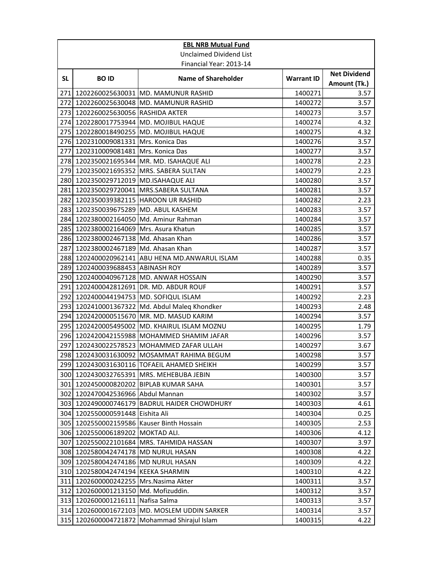|                  | <b>EBL NRB Mutual Fund</b>           |                                                |                   |                                     |  |  |
|------------------|--------------------------------------|------------------------------------------------|-------------------|-------------------------------------|--|--|
|                  |                                      | <b>Unclaimed Dividend List</b>                 |                   |                                     |  |  |
|                  | Financial Year: 2013-14              |                                                |                   |                                     |  |  |
| <b>SL</b>        | <b>BOID</b>                          | <b>Name of Shareholder</b>                     | <b>Warrant ID</b> | <b>Net Dividend</b><br>Amount (Tk.) |  |  |
| 271I             |                                      | 1202260025630031 MD. MAMUNUR RASHID            | 1400271           | 3.57                                |  |  |
|                  |                                      | 272 1202260025630048 MD. MAMUNUR RASHID        | 1400272           | 3.57                                |  |  |
|                  | 273 1202260025630056 RASHIDA AKTER   |                                                | 1400273           | 3.57                                |  |  |
|                  |                                      | 274 1202280017753944 MD. MOJIBUL HAQUE         | 1400274           | 4.32                                |  |  |
| 275              |                                      | 1202280018490255 MD. MOJIBUL HAQUE             | 1400275           | 4.32                                |  |  |
|                  | 276 1202310009081331 Mrs. Konica Das |                                                | 1400276           | 3.57                                |  |  |
| 277              | 1202310009081481   Mrs. Konica Das   |                                                | 1400277           | 3.57                                |  |  |
|                  |                                      | 278 1202350021695344 MR. MD. ISAHAQUE ALI      | 1400278           | 2.23                                |  |  |
|                  |                                      | 279 1202350021695352 MRS. SABERA SULTAN        | 1400279           | 2.23                                |  |  |
|                  | 280 1202350029712019 MD.ISAHAQUE ALI |                                                | 1400280           | 3.57                                |  |  |
| 281              |                                      | 1202350029720041 MRS.SABERA SULTANA            | 1400281           | 3.57                                |  |  |
| 282              | 1202350039382115 HAROON UR RASHID    |                                                | 1400282           | 2.23                                |  |  |
|                  | 283 1202350039675289 MD. ABUL KASHEM |                                                | 1400283           | 3.57                                |  |  |
| 284              |                                      | 1202380002164050 Md. Aminur Rahman             | 1400284           | 3.57                                |  |  |
| 285              | 1202380002164069 Mrs. Asura Khatun   |                                                | 1400285           | 3.57                                |  |  |
|                  | 286 1202380002467138 Md. Ahasan Khan |                                                | 1400286           | 3.57                                |  |  |
| 287              | 1202380002467189 Md. Ahasan Khan     |                                                | 1400287           | 3.57                                |  |  |
|                  |                                      | 288 1202400020962141 ABU HENA MD.ANWARUL ISLAM | 1400288           | 0.35                                |  |  |
|                  | 289 1202400039688453 ABINASH ROY     |                                                | 1400289           | 3.57                                |  |  |
|                  |                                      | 290 1202400040967128 MD. ANWAR HOSSAIN         | 1400290           | 3.57                                |  |  |
| 291              |                                      | 1202400042812691 DR. MD. ABDUR ROUF            | 1400291           | 3.57                                |  |  |
| 292              | 1202400044194753 MD. SOFIQUL ISLAM   |                                                | 1400292           | 2.23                                |  |  |
| 293              |                                      | 1202410001367322 Md. Abdul Maleg Khondker      | 1400293           | 2.48                                |  |  |
| 294              |                                      | 1202420000515670 MR. MD. MASUD KARIM           | 1400294           | 3.57                                |  |  |
| 295              |                                      | 1202420005495002 MD, KHAIRUL ISLAM MOZNU       | 1400295           | 1.79                                |  |  |
| 296              |                                      | 1202420042155988   MOHAMMED SHAMIM JAFAR       | 1400296           | 3.57                                |  |  |
| 297              |                                      | 1202430022578523 MOHAMMED ZAFAR ULLAH          | 1400297           | 3.67                                |  |  |
|                  |                                      | 298 1202430031630092 MOSAMMAT RAHIMA BEGUM     | 1400298           | 3.57                                |  |  |
|                  |                                      | 299 1202430031630116 TOFAEIL AHAMED SHEIKH     | 1400299           | 3.57                                |  |  |
|                  |                                      | 300 1202430032765391 MRS. MEHEBUBA JEBIN       | 1400300           | 3.57                                |  |  |
| 301              |                                      | 1202450000820202 BIPLAB KUMAR SAHA             | 1400301           | 3.57                                |  |  |
| 302 <sub>1</sub> | 1202470042536966 Abdul Mannan        |                                                | 1400302           | 3.57                                |  |  |
| 303              |                                      | 1202490000746179 BADRUL HAIDER CHOWDHURY       | 1400303           | 4.61                                |  |  |
| 304              | 1202550000591448 Eishita Ali         |                                                | 1400304           | 0.25                                |  |  |
|                  |                                      | 305 1202550002159586 Kauser Binth Hossain      | 1400305           | 2.53                                |  |  |
| 306              | 1202550006189202                     | MOKTAD ALI.                                    | 1400306           | 4.12                                |  |  |
| 307              | 1202550022101684                     | MRS. TAHMIDA HASSAN                            | 1400307           | 3.97                                |  |  |
|                  | 308 1202580042474178 MD NURUL HASAN  |                                                | 1400308           | 4.22                                |  |  |
|                  | 309 1202580042474186 MD NURUL HASAN  |                                                | 1400309           | 4.22                                |  |  |
| 310              | 1202580042474194 KEEKA SHARMIN       |                                                | 1400310           | 4.22                                |  |  |
| 311              | 1202600000242255                     | Mrs.Nasima Akter                               | 1400311           | 3.57                                |  |  |
| 312              | 1202600001213150                     | Md. Mofizuddin.                                | 1400312           | 3.57                                |  |  |
|                  | 313 1202600001216111 Nafisa Salma    |                                                | 1400313           | 3.57                                |  |  |
| 314              |                                      | 1202600001672103 MD. MOSLEM UDDIN SARKER       | 1400314           | 3.57                                |  |  |
| 315              | 1202600004721872                     | Mohammad Shirajul Islam                        | 1400315           | 4.22                                |  |  |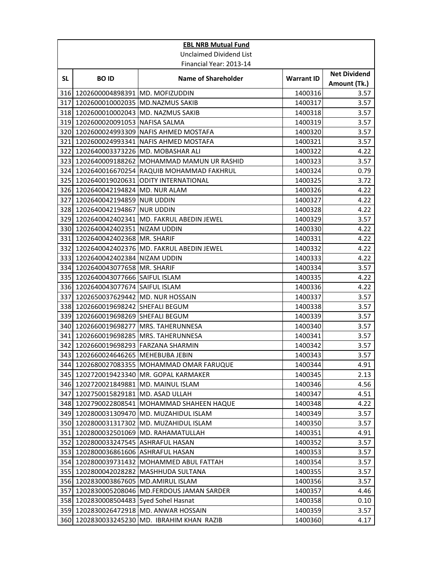|     |                                        | <b>EBL NRB Mutual Fund</b>                    |                   |                                     |
|-----|----------------------------------------|-----------------------------------------------|-------------------|-------------------------------------|
|     |                                        | <b>Unclaimed Dividend List</b>                |                   |                                     |
|     |                                        | Financial Year: 2013-14                       |                   |                                     |
| SL. | <b>BOID</b>                            | <b>Name of Shareholder</b>                    | <b>Warrant ID</b> | <b>Net Dividend</b><br>Amount (Tk.) |
| 316 | 1202600004898391   MD. MOFIZUDDIN      |                                               | 1400316           | 3.57                                |
|     | 317 1202600010002035 MD.NAZMUS SAKIB   |                                               | 1400317           | 3.57                                |
|     | 318 1202600010002043 MD. NAZMUS SAKIB  |                                               | 1400318           | 3.57                                |
|     | 319 1202600020091053 NAFISA SALMA      |                                               | 1400319           | 3.57                                |
|     |                                        | 320 1202600024993309 NAFIS AHMED MOSTAFA      | 1400320           | 3.57                                |
| 321 |                                        | 1202600024993341   NAFIS AHMED MOSTAFA        | 1400321           | 3.57                                |
| 322 | 1202640003373226 MD. MOBASHAR ALI      |                                               | 1400322           | 4.22                                |
|     |                                        | 323 1202640009188262 MOHAMMAD MAMUN UR RASHID | 1400323           | 3.57                                |
|     |                                        | 324 1202640016670254 RAQUIB MOHAMMAD FAKHRUL  | 1400324           | 0.79                                |
|     | 325 1202640019020631                   | <b>ODITY INTERNATIONAL</b>                    | 1400325           | 3.72                                |
|     | 326 1202640042194824 MD. NUR ALAM      |                                               | 1400326           | 4.22                                |
|     | 327 1202640042194859 NUR UDDIN         |                                               | 1400327           | 4.22                                |
|     | 328 1202640042194867 NUR UDDIN         |                                               | 1400328           | 4.22                                |
|     |                                        | 329 1202640042402341 MD. FAKRUL ABEDIN JEWEL  | 1400329           | 3.57                                |
|     | 330 1202640042402351 NIZAM UDDIN       |                                               | 1400330           | 4.22                                |
|     | 331 1202640042402368 MR. SHARIF        |                                               | 1400331           | 4.22                                |
|     |                                        | 332 1202640042402376 MD. FAKRUL ABEDIN JEWEL  | 1400332           | 4.22                                |
|     | 333 1202640042402384 NIZAM UDDIN       |                                               | 1400333           | 4.22                                |
|     | 334 1202640043077658 MR. SHARIF        |                                               | 1400334           | 3.57                                |
|     | 335 1202640043077666 SAIFUL ISLAM      |                                               | 1400335           | 4.22                                |
|     | 336 1202640043077674 SAIFUL ISLAM      |                                               | 1400336           | 4.22                                |
| 337 | 1202650037629442 MD. NUR HOSSAIN       |                                               | 1400337           | 3.57                                |
|     | 338 1202660019698242 SHEFALI BEGUM     |                                               | 1400338           | 3.57                                |
| 339 | 1202660019698269 SHEFALI BEGUM         |                                               | 1400339           | 3.57                                |
|     | 340 1202660019698277 MRS. TAHERUNNESA  |                                               | 1400340           | 3.57                                |
|     | 341 1202660019698285 MRS. TAHERUNNESA  |                                               | 1400341           | 3.57                                |
| 342 | 1202660019698293 FARZANA SHARMIN       |                                               | 1400342           | 3.57                                |
|     | 343 1202660024646265 MEHEBUBA JEBIN    |                                               | 1400343           | 3.57                                |
|     |                                        | 344 1202680027083355 MOHAMMAD OMAR FARUQUE    | 1400344           | 4.91                                |
|     |                                        | 345 1202720019423340 MR. GOPAL KARMAKER       | 1400345           | 2.13                                |
|     | 346 1202720021849881 MD. MAINUL ISLAM  |                                               | 1400346           | 4.56                                |
| 347 | 1202750015829181 MD. ASAD ULLAH        |                                               | 1400347           | 4.51                                |
|     |                                        | 348 1202790022808541 MOHAMMAD SHAHEEN HAQUE   | 1400348           | 4.22                                |
|     |                                        | 349 1202800031309470 MD. MUZAHIDUL ISLAM      | 1400349           | 3.57                                |
|     |                                        | 350 1202800031317302 MD. MUZAHIDUL ISLAM      | 1400350           | 3.57                                |
| 351 |                                        | 1202800032501069 MD. RAHAMATULLAH             | 1400351           | 4.91                                |
|     | 352 1202800033247545 ASHRAFUL HASAN    |                                               | 1400352           | 3.57                                |
|     | 353 1202800036861606 ASHRAFUL HASAN    |                                               | 1400353           | 3.57                                |
|     |                                        | 354 1202800039731432 MOHAMMED ABUL FATTAH     | 1400354           | 3.57                                |
|     |                                        | 355 1202800042028282 MASHHUDA SULTANA         | 1400355           | 3.57                                |
|     | 356 1202830003867605 MD.AMIRUL ISLAM   |                                               | 1400356           | 3.57                                |
|     |                                        | 357 1202830005208046 MD.FERDOUS JAMAN SARDER  | 1400357           | 4.46                                |
|     | 358 1202830008504483 Syed Sohel Hasnat |                                               | 1400358           | 0.10                                |
|     |                                        | 359 1202830026472918 MD. ANWAR HOSSAIN        | 1400359           | 3.57                                |
|     |                                        | 360 1202830033245230 MD. IBRAHIM KHAN RAZIB   | 1400360           | 4.17                                |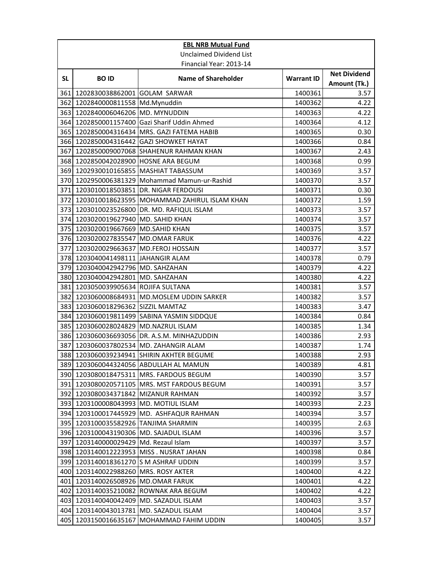|           |                                        | <b>EBL NRB Mutual Fund</b>                       |                   |                                     |
|-----------|----------------------------------------|--------------------------------------------------|-------------------|-------------------------------------|
|           |                                        | <b>Unclaimed Dividend List</b>                   |                   |                                     |
|           |                                        | Financial Year: 2013-14                          |                   |                                     |
| <b>SL</b> | <b>BOID</b>                            | <b>Name of Shareholder</b>                       | <b>Warrant ID</b> | <b>Net Dividend</b><br>Amount (Tk.) |
| 361       | 1202830038862001 GOLAM SARWAR          |                                                  | 1400361           | 3.57                                |
|           | 362 1202840000811558 Md.Mynuddin       |                                                  | 1400362           | 4.22                                |
|           | 363 1202840006046206 MD. MYNUDDIN      |                                                  | 1400363           | 4.22                                |
|           |                                        | 364 1202850001157400 Gazi Sharif Uddin Ahmed     | 1400364           | 4.12                                |
| 365       |                                        | 1202850004316434   MRS. GAZI FATEMA HABIB        | 1400365           | 0.30                                |
|           |                                        | 366 1202850004316442 GAZI SHOWKET HAYAT          | 1400366           | 0.84                                |
| 367       |                                        | 1202850009007068 SHAHENUR RAHMAN KHAN            | 1400367           | 2.43                                |
|           | 368 1202850042028900 HOSNE ARA BEGUM   |                                                  | 1400368           | 0.99                                |
|           |                                        | 369 1202930010165855 MASHIAT TABASSUM            | 1400369           | 3.57                                |
|           |                                        | 370 1202950006381329 Mohammad Mamun-ur-Rashid    | 1400370           | 3.57                                |
|           |                                        | 371 1203010018503851 DR. NIGAR FERDOUSI          | 1400371           | 0.30                                |
|           |                                        | 372 1203010018623595 MOHAMMAD ZAHIRUL ISLAM KHAN | 1400372           | 1.59                                |
|           |                                        | 373 1203010023526800 DR. MD. RAFIQUL ISLAM       | 1400373           | 3.57                                |
|           | 374 1203020019627940 MD. SAHID KHAN    |                                                  | 1400374           | 3.57                                |
|           | 375 1203020019667669 MD.SAHID KHAN     |                                                  | 1400375           | 3.57                                |
|           | 376 1203020027835547 MD.OMAR FARUK     |                                                  | 1400376           | 4.22                                |
| 377       | 1203020029663637 MD.FEROJ HOSSAIN      |                                                  | 1400377           | 3.57                                |
|           | 378 1203040041498111 JAHANGIR ALAM     |                                                  | 1400378           | 0.79                                |
|           | 379 1203040042942796 MD. SAHZAHAN      |                                                  | 1400379           | 4.22                                |
|           | 380 1203040042942801 MD. SAHZAHAN      |                                                  | 1400380           | 4.22                                |
|           | 381 1203050039905634 ROJIFA SULTANA    |                                                  | 1400381           | 3.57                                |
|           |                                        | 382 1203060008684931 MD.MOSLEM UDDIN SARKER      | 1400382           | 3.57                                |
| 383       | 1203060018296362 SIZZIL MAMTAZ         |                                                  | 1400383           | 3.47                                |
| 384       |                                        | 1203060019811499 SABINA YASMIN SIDDQUE           | 1400384           | 0.84                                |
|           | 385 1203060028024829 MD.NAZRUL ISLAM   |                                                  | 1400385           | 1.34                                |
| 386       |                                        | 1203060036693056 DR. A.S.M. MINHAZUDDIN          | 1400386           | 2.93                                |
| 387       |                                        | 1203060037802534 MD. ZAHANGIR ALAM               | 1400387           | 1.74                                |
|           |                                        | 388 1203060039234941 SHIRIN AKHTER BEGUME        | 1400388           | 2.93                                |
|           |                                        | 389 1203060044324056 ABDULLAH AL MAMUN           | 1400389           | 4.81                                |
|           |                                        | 390 1203080018475311 MRS. FARDOUS BEGUM          | 1400390           | 3.57                                |
| 391       |                                        | 1203080020571105   MRS. MST FARDOUS BEGUM        | 1400391           | 3.57                                |
| 392       | 1203080034371842 MIZANUR RAHMAN        |                                                  | 1400392           | 3.57                                |
|           | 393 1203100008043993 MD. MOTIUL ISLAM  |                                                  | 1400393           | 2.23                                |
| 394       |                                        | 1203100017445929   MD. ASHFAQUR RAHMAN           | 1400394           | 3.57                                |
|           | 395 1203100035582926 TANJIMA SHARMIN   |                                                  | 1400395           | 2.63                                |
|           | 396 1203100043190306 MD. SAJADUL ISLAM |                                                  | 1400396           | 3.57                                |
| 397       | 1203140000029429 Md. Rezaul Islam      |                                                  | 1400397           | 3.57                                |
|           |                                        | 398 1203140012223953 MISS . NUSRAT JAHAN         | 1400398           | 0.84                                |
|           | 399 1203140018361270 S M ASHRAF UDDIN  |                                                  | 1400399           | 3.57                                |
| 400       | 1203140022988260 MRS. ROSY AKTER       |                                                  | 1400400           | 4.22                                |
| 401       | 1203140026508926 MD.OMAR FARUK         |                                                  | 1400401           | 4.22                                |
|           |                                        | 402 1203140035210082 ROWNAK ARA BEGUM            | 1400402           | 4.22                                |
|           |                                        | 403 1203140040042409 MD. SAZADUL ISLAM           | 1400403           | 3.57                                |
| 404       |                                        | 1203140043013781 MD. SAZADUL ISLAM               | 1400404           | 3.57                                |
| 405       |                                        | 1203150016635167   MOHAMMAD FAHIM UDDIN          | 1400405           | 3.57                                |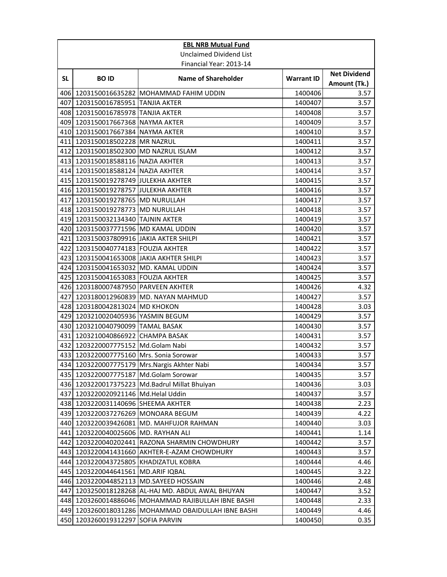|              |                                       | <b>EBL NRB Mutual Fund</b>                          |                   |                                     |
|--------------|---------------------------------------|-----------------------------------------------------|-------------------|-------------------------------------|
|              |                                       | <b>Unclaimed Dividend List</b>                      |                   |                                     |
|              |                                       | Financial Year: 2013-14                             |                   |                                     |
| SL.          | <b>BOID</b>                           | <b>Name of Shareholder</b>                          | <b>Warrant ID</b> | <b>Net Dividend</b><br>Amount (Tk.) |
| 406 <b>1</b> |                                       | 1203150016635282 MOHAMMAD FAHIM UDDIN               | 1400406           | 3.57                                |
|              | 407 1203150016785951 TANJIA AKTER     |                                                     | 1400407           | 3.57                                |
|              | 408 1203150016785978 TANJIA AKTER     |                                                     | 1400408           | 3.57                                |
|              | 409 1203150017667368 NAYMA AKTER      |                                                     | 1400409           | 3.57                                |
|              | 410 1203150017667384 NAYMA AKTER      |                                                     | 1400410           | 3.57                                |
| 411          | 1203150018502228 MR NAZRUL            |                                                     | 1400411           | 3.57                                |
| 412          | 1203150018502300 MD NAZRUL ISLAM      |                                                     | 1400412           | 3.57                                |
| 413          | 1203150018588116 NAZIA AKHTER         |                                                     | 1400413           | 3.57                                |
| 414          | 1203150018588124 NAZIA AKHTER         |                                                     | 1400414           | 3.57                                |
|              | 415 1203150019278749 JJULEKHA AKHTER  |                                                     | 1400415           | 3.57                                |
|              | 416 1203150019278757 JJULEKHA AKHTER  |                                                     | 1400416           | 3.57                                |
|              | 417 1203150019278765 MD NURULLAH      |                                                     | 1400417           | 3.57                                |
|              | 418 1203150019278773 MD NURULLAH      |                                                     | 1400418           | 3.57                                |
|              | 419 1203150032134340 TAJNIN AKTER     |                                                     | 1400419           | 3.57                                |
| 420          | 1203150037771596 MD KAMAL UDDIN       |                                                     | 1400420           | 3.57                                |
| 421          | 1203150037809916 JAKIA AKTER SHILPI   |                                                     | 1400421           | 3.57                                |
|              | 422 1203150040774183 FOUZIA AKHTER    |                                                     | 1400422           | 3.57                                |
| 423          | 1203150041653008 JAKIA AKHTER SHILPI  |                                                     | 1400423           | 3.57                                |
|              | 424 1203150041653032 MD. KAMAL UDDIN  |                                                     | 1400424           | 3.57                                |
|              | 425 1203150041653083 FOUZIA AKHTER    |                                                     | 1400425           | 3.57                                |
|              | 426 1203180007487950 PARVEEN AKHTER   |                                                     | 1400426           | 4.32                                |
| 427          |                                       | 1203180012960839 JMD. NAYAN MAHMUD                  | 1400427           | 3.57                                |
|              | 428 1203180042813024 MD KHOKON        |                                                     | 1400428           | 3.03                                |
| 429          | 1203210020405936 YASMIN BEGUM         |                                                     | 1400429           | 3.57                                |
|              | 430 1203210040790099 TAMAL BASAK      |                                                     | 1400430           | 3.57                                |
| 431          | 1203210040866922 CHAMPA BASAK         |                                                     | 1400431           | 3.57                                |
| 432          | 1203220007775152 Md.Golam Nabi        |                                                     | 1400432           | 3.57                                |
| 433          | 1203220007775160 Mrs. Sonia Sorowar   |                                                     | 1400433           | 3.57                                |
|              |                                       | 434 1203220007775179 Mrs. Nargis Akhter Nabi        | 1400434           | 3.57                                |
|              | 435 1203220007775187 Md.Golam Sorowar |                                                     | 1400435           | 3.57                                |
|              |                                       | 436 1203220017375223 Md.Badrul Millat Bhuiyan       | 1400436           | 3.03                                |
| 437          | 1203220020921146 Md.Helal Uddin       |                                                     | 1400437           | 3.57                                |
|              | 438 1203220031140696 SHEEMA AKHTER    |                                                     | 1400438           | 2.23                                |
|              | 439 1203220037276269 MONOARA BEGUM    |                                                     | 1400439           | 4.22                                |
|              |                                       | 440 1203220039426081 MD. MAHFUJOR RAHMAN            | 1400440           | 3.03                                |
| 441          | 1203220040025606 MD. RAYHAN ALI       |                                                     | 1400441           | 1.14                                |
| 442          | 1203220040202441                      | RAZONA SHARMIN CHOWDHURY                            | 1400442           | 3.57                                |
| 443          |                                       | 1203220041431660 AKHTER-E-AZAM CHOWDHURY            | 1400443           | 3.57                                |
| 444          |                                       | 1203220043725805 KHADIZATUL KOBRA                   | 1400444           | 4.46                                |
| 445          | 1203220044641561 MD.ARIF IQBAL        |                                                     | 1400445           | 3.22                                |
|              |                                       | 446 1203220044852113 MD.SAYEED HOSSAIN              | 1400446           | 2.48                                |
| 447          |                                       | 1203250018128268 AL-HAJ MD. ABDUL AWAL BHUYAN       | 1400447           | 3.52                                |
|              |                                       | 448 1203260014886046 MOHAMMAD RAJIBULLAH IBNE BASHI | 1400448           | 2.33                                |
|              |                                       | 449 1203260018031286 MOHAMMAD OBAIDULLAH IBNE BASHI | 1400449           | 4.46                                |
|              | 450 1203260019312297                  | <b>SOFIA PARVIN</b>                                 | 1400450           | 0.35                                |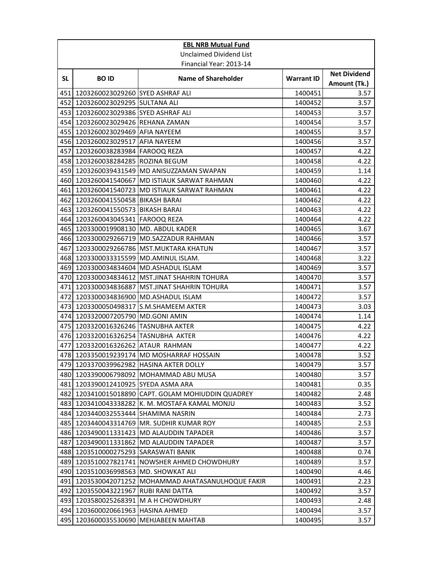|           | <b>EBL NRB Mutual Fund</b>           |                                                |                   |                                     |  |
|-----------|--------------------------------------|------------------------------------------------|-------------------|-------------------------------------|--|
|           |                                      | <b>Unclaimed Dividend List</b>                 |                   |                                     |  |
|           |                                      | Financial Year: 2013-14                        |                   |                                     |  |
| <b>SL</b> | <b>BOID</b>                          | <b>Name of Shareholder</b>                     | <b>Warrant ID</b> | <b>Net Dividend</b><br>Amount (Tk.) |  |
| 451       | 1203260023029260 SYED ASHRAF ALI     |                                                | 1400451           | 3.57                                |  |
|           | 452 1203260023029295 SULTANA ALI     |                                                | 1400452           | 3.57                                |  |
|           | 453 1203260023029386 SYED ASHRAF ALI |                                                | 1400453           | 3.57                                |  |
|           | 454 1203260023029426 REHANA ZAMAN    |                                                | 1400454           | 3.57                                |  |
|           | 455 1203260023029469 AFIA NAYEEM     |                                                | 1400455           | 3.57                                |  |
|           | 456 1203260023029517 AFIA NAYEEM     |                                                | 1400456           | 3.57                                |  |
| 457       | 1203260038283984 FAROOQ REZA         |                                                | 1400457           | 4.22                                |  |
|           | 458 1203260038284285 ROZINA BEGUM    |                                                | 1400458           | 4.22                                |  |
|           |                                      | 459 1203260039431549 MD ANISUZZAMAN SWAPAN     | 1400459           | 1.14                                |  |
|           |                                      | 460 1203260041540667 MD ISTIAUK SARWAT RAHMAN  | 1400460           | 4.22                                |  |
| 461       |                                      | 1203260041540723 MD ISTIAUK SARWAT RAHMAN      | 1400461           | 4.22                                |  |
|           | 462 1203260041550458 BIKASH BARAI    |                                                | 1400462           | 4.22                                |  |
|           | 463 1203260041550573 BIKASH BARAI    |                                                | 1400463           | 4.22                                |  |
| 464       | 1203260043045341                     | <b>FAROOQ REZA</b>                             | 1400464           | 4.22                                |  |
| 465       | 1203300019908130 MD. ABDUL KADER     |                                                | 1400465           | 3.67                                |  |
|           |                                      | 466 1203300029266719 MD.SAZZADUR RAHMAN        | 1400466           | 3.57                                |  |
| 467       |                                      | 1203300029266786   MST.MUKTARA KHATUN          | 1400467           | 3.57                                |  |
|           | 468 1203300033315599                 | MD.AMINUL ISLAM.                               | 1400468           | 3.22                                |  |
|           | 469 1203300034834604                 | <b>MD.ASHADUL ISLAM</b>                        | 1400469           | 3.57                                |  |
|           | 470 1203300034834612                 | MST.JINAT SHAHRIN TOHURA                       | 1400470           | 3.57                                |  |
|           | 471 1203300034836887                 | <b>MST.JINAT SHAHRIN TOHURA</b>                | 1400471           | 3.57                                |  |
|           | 472 1203300034836900                 | MD.ASHADUL ISLAM                               | 1400472           | 3.57                                |  |
| 473       | 1203300050498317                     | S.M.SHAMEEM AKTER                              | 1400473           | 3.03                                |  |
| 474       | 1203320007205790 MD.GONI AMIN        |                                                | 1400474           | 1.14                                |  |
|           | 475 1203320016326246 TASNUBHA AKTER  |                                                | 1400475           | 4.22                                |  |
|           | 476 1203320016326254 TASNUBHA AKTER  |                                                | 1400476           | 4.22                                |  |
| 477       | 1203320016326262 ATAUR RAHMAN        |                                                | 1400477           | 4.22                                |  |
|           |                                      | 478 1203350019239174 MD MOSHARRAF HOSSAIN      | 1400478           | 3.52                                |  |
|           |                                      | 479 1203370039962982 HASINA AKTER DOLLY        | 1400479           | 3.57                                |  |
|           |                                      | 480 1203390006798092 MOHAMMAD ABU MUSA         | 1400480           | 3.57                                |  |
| 481       | 1203390012410925 SYEDA ASMA ARA      |                                                | 1400481           | 0.35                                |  |
| 482       |                                      | 1203410015018890 CAPT. GOLAM MOHIUDDIN QUADREY | 1400482           | 2.48                                |  |
| 483       |                                      | 1203410043338282 K. M. MOSTAFA KAMAL MONJU     | 1400483           | 3.52                                |  |
| 484       | 1203440032553444 SHAMIMA NASRIN      |                                                | 1400484           | 2.73                                |  |
| 485       |                                      | 1203440043314769 MR. SUDHIR KUMAR ROY          | 1400485           | 2.53                                |  |
| 486       | 1203490011331423                     | MD ALAUDDIN TAPADER                            | 1400486           | 3.57                                |  |
| 487       | 1203490011331862                     | MD ALAUDDIN TAPADER                            | 1400487           | 3.57                                |  |
|           | 488 1203510000275293 SARASWATI BANIK |                                                | 1400488           | 0.74                                |  |
| 489       |                                      | 1203510027821741 NOWSHER AHMED CHOWDHURY       | 1400489           | 3.57                                |  |
| 490       | 1203510036998563                     | MD. SHOWKAT ALI                                | 1400490           | 4.46                                |  |
| 491       | 1203530042071252                     | MOHAMMAD AHATASANULHOQUE FAKIR                 | 1400491           | 2.23                                |  |
| 492       | 1203550043221967                     | RUBI RANI DATTA                                | 1400492           | 3.57                                |  |
| 493       |                                      | 1203580025268391   M A H CHOWDHURY             | 1400493           | 2.48                                |  |
| 494       | 1203600020661963                     | <b>HASINA AHMED</b>                            | 1400494           | 3.57                                |  |
| 495       | 1203600035530690                     | <b>MEHJABEEN MAHTAB</b>                        | 1400495           | 3.57                                |  |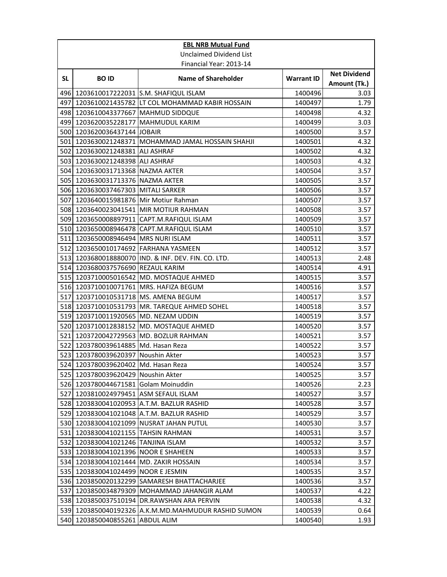|              | <b>EBL NRB Mutual Fund</b>             |                                                    |                   |                                     |  |
|--------------|----------------------------------------|----------------------------------------------------|-------------------|-------------------------------------|--|
|              |                                        | <b>Unclaimed Dividend List</b>                     |                   |                                     |  |
|              |                                        | Financial Year: 2013-14                            |                   |                                     |  |
| SL.          | <b>BOID</b>                            | <b>Name of Shareholder</b>                         | <b>Warrant ID</b> | <b>Net Dividend</b><br>Amount (Tk.) |  |
| 496 I        |                                        | 1203610017222031 S.M. SHAFIQUL ISLAM               | 1400496           | 3.03                                |  |
|              |                                        | 497 1203610021435782 LT COL MOHAMMAD KABIR HOSSAIN | 1400497           | 1.79                                |  |
|              | 498 1203610043377667 MAHMUD SIDDQUE    |                                                    | 1400498           | 4.32                                |  |
|              | 499 1203620035228177                   | <b>MAHMUDUL KARIM</b>                              | 1400499           | 3.03                                |  |
|              | 500 1203620036437144                   | <b>JOBAIR</b>                                      | 1400500           | 3.57                                |  |
| 501          |                                        | 1203630021248371 MOHAMMAD JAMAL HOSSAIN SHAHJI     | 1400501           | 4.32                                |  |
| 502          | 1203630021248381 ALI ASHRAF            |                                                    | 1400502           | 4.32                                |  |
| 503          | 1203630021248398 ALI ASHRAF            |                                                    | 1400503           | 4.32                                |  |
| 504 <b>1</b> | 1203630031713368 NAZMA AKTER           |                                                    | 1400504           | 3.57                                |  |
|              | 505 1203630031713376 NAZMA AKTER       |                                                    | 1400505           | 3.57                                |  |
|              | 506 1203630037467303 MITALI SARKER     |                                                    | 1400506           | 3.57                                |  |
|              | 507 1203640015981876 Mir Motiur Rahman |                                                    | 1400507           | 3.57                                |  |
|              |                                        | 508 1203640023041541 MIR MOTIUR RAHMAN             | 1400508           | 3.57                                |  |
|              | 509 1203650008897911                   | CAPT.M.RAFIQUL ISLAM                               | 1400509           | 3.57                                |  |
|              |                                        | 510 1203650008946478 CAPT.M.RAFIQUL ISLAM          | 1400510           | 3.57                                |  |
| 511          | 1203650008946494 MRS NURI ISLAM        |                                                    | 1400511           | 3.57                                |  |
|              | 512 1203650010174692 FARHANA YASMEEN   |                                                    | 1400512           | 3.57                                |  |
|              | 513 1203680018880070                   | IND. & INF. DEV. FIN. CO. LTD.                     | 1400513           | 2.48                                |  |
|              | 514 1203680037576690 REZAUL KARIM      |                                                    | 1400514           | 4.91                                |  |
|              |                                        | 515 1203710005016542 MD. MOSTAQUE AHMED            | 1400515           | 3.57                                |  |
|              |                                        | 516 1203710010071761 MRS. HAFIZA BEGUM             | 1400516           | 3.57                                |  |
| 517          |                                        | 1203710010531718 MS. AMENA BEGUM                   | 1400517           | 3.57                                |  |
|              | 518 1203710010531793                   | MR. TAREQUE AHMED SOHEL                            | 1400518           | 3.57                                |  |
| 519          | 1203710011920565 MD. NEZAM UDDIN       |                                                    | 1400519           | 3.57                                |  |
|              |                                        | 520 1203710012838152 MD. MOSTAQUE AHMED            | 1400520           | 3.57                                |  |
| 521          |                                        | 1203720042729563 MD. BOZLUR RAHMAN                 | 1400521           | 3.57                                |  |
| 522          | 1203780039614885 Md. Hasan Reza        |                                                    | 1400522           | 3.57                                |  |
|              | 523 1203780039620397 Noushin Akter     |                                                    | 1400523           | 3.57                                |  |
|              | 524 1203780039620402 Md. Hasan Reza    |                                                    | 1400524           | 3.57                                |  |
|              | 525 1203780039620429 Noushin Akter     |                                                    | 1400525           | 3.57                                |  |
|              | 526 1203780044671581 Golam Moinuddin   |                                                    | 1400526           | 2.23                                |  |
| 527          | 1203810024979451                       | ASM SEFAUL ISLAM                                   | 1400527           | 3.57                                |  |
| 528 <b>1</b> |                                        | 1203830041020953 A.T.M. BAZLUR RASHID              | 1400528           | 3.57                                |  |
| 529          |                                        | 1203830041021048 A.T.M. BAZLUR RASHID              | 1400529           | 3.57                                |  |
|              |                                        | 530 1203830041021099 NUSRAT JAHAN PUTUL            | 1400530           | 3.57                                |  |
| 531          | 1203830041021155                       | <b>TAHSIN RAHMAN</b>                               | 1400531           | 3.57                                |  |
| 532          | 1203830041021246                       | TANJINA ISLAM                                      | 1400532           | 3.57                                |  |
| 533          | 1203830041021396 NOOR E SHAHEEN        |                                                    | 1400533           | 3.57                                |  |
| 534          | 1203830041021444                       | MD. ZAKIR HOSSAIN                                  | 1400534           | 3.57                                |  |
| 535          | 1203830041024499 NOOR E JESMIN         |                                                    | 1400535           | 3.57                                |  |
| 536          |                                        | 1203850020132299 SAMARESH BHATTACHARJEE            | 1400536           | 3.57                                |  |
| 537          |                                        | 1203850034879309 MOHAMMAD JAHANGIR ALAM            | 1400537           | 4.22                                |  |
|              | 538 1203850037510194                   | DR.RAWSHAN ARA PERVIN                              | 1400538           | 4.32                                |  |
| 539          |                                        | 1203850040192326 A.K.M.MD.MAHMUDUR RASHID SUMON    | 1400539           | 0.64                                |  |
| 540          | 1203850040855261                       | <b>ABDUL ALIM</b>                                  | 1400540           | 1.93                                |  |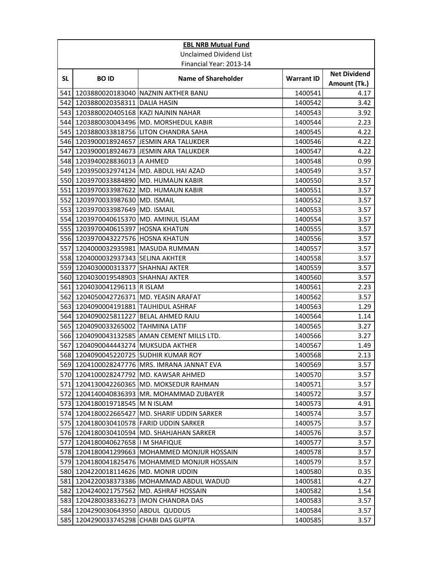|     | <b>EBL NRB Mutual Fund</b>             |                                              |                   |                                     |  |
|-----|----------------------------------------|----------------------------------------------|-------------------|-------------------------------------|--|
|     | <b>Unclaimed Dividend List</b>         |                                              |                   |                                     |  |
|     |                                        | Financial Year: 2013-14                      |                   |                                     |  |
| SL. | <b>BOID</b>                            | <b>Name of Shareholder</b>                   | <b>Warrant ID</b> | <b>Net Dividend</b><br>Amount (Tk.) |  |
| 541 |                                        | 1203880020183040 NAZNIN AKTHER BANU          | 1400541           | 4.17                                |  |
|     | 542 1203880020358311 DALIA HASIN       |                                              | 1400542           | 3.42                                |  |
|     | 543 1203880020405168 KAZI NAJNIN NAHAR |                                              | 1400543           | 3.92                                |  |
|     |                                        | 544 1203880030043496 MD. MORSHEDUL KABIR     | 1400544           | 2.23                                |  |
| 545 |                                        | 1203880033818756   LITON CHANDRA SAHA        | 1400545           | 4.22                                |  |
|     |                                        | 546 1203900018924657 JJESMIN ARA TALUKDER    | 1400546           | 4.22                                |  |
| 547 |                                        | 1203900018924673 JJESMIN ARA TALUKDER        | 1400547           | 4.22                                |  |
|     | 548 1203940028836013 A AHMED           |                                              | 1400548           | 0.99                                |  |
|     |                                        | 549 1203950032974124 MD. ABDUL HAI AZAD      | 1400549           | 3.57                                |  |
|     |                                        | 550 1203970033884890 MD. HUMAUN KABIR        | 1400550           | 3.57                                |  |
|     |                                        | 551 1203970033987622 MD. HUMAUN KABIR        | 1400551           | 3.57                                |  |
|     | 552 1203970033987630 MD. ISMAIL        |                                              | 1400552           | 3.57                                |  |
|     | 553 1203970033987649 MD. ISMAIL        |                                              | 1400553           | 3.57                                |  |
|     | 554 1203970040615370 MD. AMINUL ISLAM  |                                              | 1400554           | 3.57                                |  |
|     | 555 1203970040615397 HOSNA KHATUN      |                                              | 1400555           | 3.57                                |  |
|     | 556 1203970043227576 HOSNA KHATUN      |                                              | 1400556           | 3.57                                |  |
| 557 | 1204000032935981   MASUDA RUMMAN       |                                              | 1400557           | 3.57                                |  |
|     | 558 1204000032937343 SELINA AKHTER     |                                              | 1400558           | 3.57                                |  |
|     | 559 1204030000313377 SHAHNAJ AKTER     |                                              | 1400559           | 3.57                                |  |
|     | 560 1204030019548903 SHAHNAJ AKTER     |                                              | 1400560           | 3.57                                |  |
|     | 561 1204030041296113 R ISLAM           |                                              | 1400561           | 2.23                                |  |
| 562 | 1204050042726371 MD. YEASIN ARAFAT     |                                              | 1400562           | 3.57                                |  |
| 563 | 1204090004191881                       | <b>TAUHIDUL ASHRAF</b>                       | 1400563           | 1.29                                |  |
| 564 | 1204090025811227 BELAL AHMED RAJU      |                                              | 1400564           | 1.14                                |  |
|     | 565 1204090033265002 TAHMINA LATIF     |                                              | 1400565           | 3.27                                |  |
|     |                                        | 566 1204090043132585 AMAN CEMENT MILLS LTD.  | 1400566           | 3.27                                |  |
| 567 | 1204090044443274 MUKSUDA AKTHER        |                                              | 1400567           | 1.49                                |  |
|     | 568 1204090045220725 SUDHIR KUMAR ROY  |                                              | 1400568           | 2.13                                |  |
|     |                                        | 569 1204100028247776 MRS. IMRANA JANNAT EVA  | 1400569           | 3.57                                |  |
|     |                                        | 570 1204100028247792 MD. KAWSAR AHMED        | 1400570           | 3.57                                |  |
| 571 |                                        | 1204130042260365   MD. MOKSEDUR RAHMAN       | 1400571           | 3.57                                |  |
| 572 |                                        | 1204140040836393 MR. MOHAMMAD ZUBAYER        | 1400572           | 3.57                                |  |
| 573 | 1204180019718545 M N ISLAM             |                                              | 1400573           | 4.91                                |  |
| 574 |                                        | 1204180022665427 MD. SHARIF UDDIN SARKER     | 1400574           | 3.57                                |  |
| 575 |                                        | 1204180030410578   FARID UDDIN SARKER        | 1400575           | 3.57                                |  |
|     |                                        | 576 1204180030410594 MD. SHAHJAHAN SARKER    | 1400576           | 3.57                                |  |
| 577 | 1204180040627658   IM SHAFIQUE         |                                              | 1400577           | 3.57                                |  |
|     |                                        | 578 1204180041299663 MOHAMMED MONJUR HOSSAIN | 1400578           | 3.57                                |  |
|     |                                        | 579 1204180041825476 MOHAMMED MONJUR HOSSAIN | 1400579           | 3.57                                |  |
| 580 | 1204220018114626   MD. MONIR UDDIN     |                                              | 1400580           | 0.35                                |  |
| 581 |                                        | 1204220038373386   MOHAMMAD ABDUL WADUD      | 1400581           | 4.27                                |  |
| 582 |                                        | 1204240021757562 MD. ASHRAF HOSSAIN          | 1400582           | 1.54                                |  |
| 583 |                                        | 1204280038336273   IMON CHANDRA DAS          | 1400583           | 3.57                                |  |
| 584 | 1204290030643950 ABDUL QUDDUS          |                                              | 1400584           | 3.57                                |  |
| 585 | 1204290033745298 CHABI DAS GUPTA       |                                              | 1400585           | 3.57                                |  |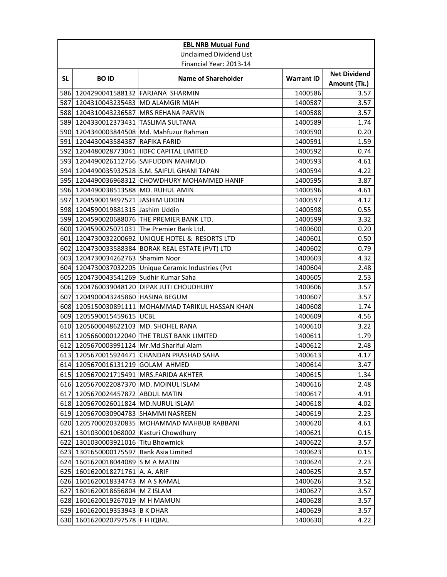|           | <b>EBL NRB Mutual Fund</b>             |                                                     |                   |                                     |  |
|-----------|----------------------------------------|-----------------------------------------------------|-------------------|-------------------------------------|--|
|           | <b>Unclaimed Dividend List</b>         |                                                     |                   |                                     |  |
|           | Financial Year: 2013-14                |                                                     |                   |                                     |  |
| <b>SL</b> | <b>BOID</b>                            | <b>Name of Shareholder</b>                          | <b>Warrant ID</b> | <b>Net Dividend</b><br>Amount (Tk.) |  |
| 586       | 1204290041588132 FARJANA SHARMIN       |                                                     | 1400586           | 3.57                                |  |
|           | 587 1204310043235483 MD ALAMGIR MIAH   |                                                     | 1400587           | 3.57                                |  |
|           |                                        | 588 1204310043236587 MRS REHANA PARVIN              | 1400588           | 3.57                                |  |
|           | 589 1204330012373431 TASLIMA SULTANA   |                                                     | 1400589           | 1.74                                |  |
|           |                                        | 590 1204340003844508 Md. Mahfuzur Rahman            | 1400590           | 0.20                                |  |
| 591       | 1204430043584387 RAFIKA FARID          |                                                     | 1400591           | 1.59                                |  |
|           |                                        | 592 1204480028773041 IIDFC CAPITAL LIMITED          | 1400592           | 0.74                                |  |
|           |                                        | 593 1204490026112766 SAIFUDDIN MAHMUD               | 1400593           | 4.61                                |  |
|           |                                        | 594 1204490035932528 S.M. SAIFUL GHANI TAPAN        | 1400594           | 4.22                                |  |
|           |                                        | 595 1204490036968312 CHOWDHURY MOHAMMED HANIF       | 1400595           | 3.87                                |  |
|           | 596 1204490038513588 MD. RUHUL AMIN    |                                                     | 1400596           | 4.61                                |  |
| 597       | 1204590019497521 JASHIM UDDIN          |                                                     | 1400597           | 4.12                                |  |
|           | 598 1204590019881315 Jashim Uddin      |                                                     | 1400598           | 0.55                                |  |
|           |                                        | 599 1204590020688076 THE PREMIER BANK LTD.          | 1400599           | 3.32                                |  |
|           |                                        | 600 1204590025071031 The Premier Bank Ltd.          | 1400600           | 0.20                                |  |
|           |                                        | 601 1204730032200692 UNIQUE HOTEL & RESORTS LTD     | 1400601           | 0.50                                |  |
|           |                                        | 602 1204730033588384 BORAK REAL ESTATE (PVT) LTD    | 1400602           | 0.79                                |  |
|           | 603 1204730034262763 Shamim Noor       |                                                     | 1400603           | 4.32                                |  |
|           |                                        | 604 1204730037032205 Unique Ceramic Industries (Pvt | 1400604           | 2.48                                |  |
|           | 605 1204730043541269 Sudhir Kumar Saha |                                                     | 1400605           | 2.53                                |  |
|           |                                        | 606 1204760039048120 DIPAK JUTI CHOUDHURY           | 1400606           | 3.57                                |  |
| 607       | 1204900043245860 HASINA BEGUM          |                                                     | 1400607           | 3.57                                |  |
| 608       | 1205150030891111                       | MOHAMMAD TARIKUL HASSAN KHAN                        | 1400608           | 1.74                                |  |
|           | 609 1205590015459615 UCBL              |                                                     | 1400609           | 4.56                                |  |
|           | 610 1205600048622103 MD. SHOHEL RANA   |                                                     | 1400610           | 3.22                                |  |
| 611       |                                        | 1205660000122040 THE TRUST BANK LIMITED             | 1400611           | 1.79                                |  |
| 612       |                                        | 1205670003991124 Mr.Md.Shariful Alam                | 1400612           | 2.48                                |  |
|           |                                        | 613 1205670015924471 CHANDAN PRASHAD SAHA           | 1400613           | 4.17                                |  |
|           | 614 1205670016131219 GOLAM AHMED       |                                                     | 1400614           | 3.47                                |  |
|           |                                        | 615 1205670021715491 MRS.FARIDA AKHTER              | 1400615           | 1.34                                |  |
|           | 616 1205670022087370 MD. MOINUL ISLAM  |                                                     | 1400616           | 2.48                                |  |
| 617       | 1205670024457872                       | <b>ABDUL MATIN</b>                                  | 1400617           | 4.91                                |  |
|           | 618 1205670026011824 MD.NURUL ISLAM    |                                                     | 1400618           | 4.02                                |  |
|           | 619 1205670030904783 SHAMMI NASREEN    |                                                     | 1400619           | 2.23                                |  |
|           |                                        | 620 1205700020320835 MOHAMMAD MAHBUB RABBANI        | 1400620           | 4.61                                |  |
| 621       | 1301030001068002                       | Kasturi Chowdhury                                   | 1400621           | 0.15                                |  |
|           | 622 1301030003921016                   | <b>Titu Bhowmick</b>                                | 1400622           | 3.57                                |  |
|           | 623 1301650000175597 Bank Asia Limited |                                                     | 1400623           | 0.15                                |  |
|           | 624 1601620018044089 S M A MATIN       |                                                     | 1400624           | 2.23                                |  |
| 625       | 1601620018271761 A. A. ARIF            |                                                     | 1400625           | 3.57                                |  |
|           | 626 1601620018334743                   | M A S KAMAL                                         | 1400626           | 3.52                                |  |
| 627       | 1601620018656804 M Z ISLAM             |                                                     | 1400627           | 3.57                                |  |
|           | 628 1601620019267019 M H MAMUN         |                                                     | 1400628           | 3.57                                |  |
| 629       | 1601620019353943 B K DHAR              |                                                     | 1400629           | 3.57                                |  |
| 630       | 1601620020797578 F H IQBAL             |                                                     | 1400630           | 4.22                                |  |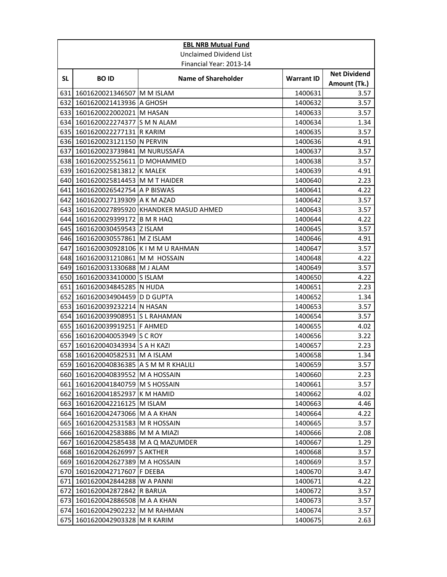|           | <b>EBL NRB Mutual Fund</b>             |                                           |                    |                                     |  |
|-----------|----------------------------------------|-------------------------------------------|--------------------|-------------------------------------|--|
|           | <b>Unclaimed Dividend List</b>         |                                           |                    |                                     |  |
|           |                                        | Financial Year: 2013-14                   |                    |                                     |  |
| <b>SL</b> | <b>BOID</b>                            | <b>Name of Shareholder</b>                | <b>Warrant ID</b>  | <b>Net Dividend</b><br>Amount (Tk.) |  |
| 631       | 1601620021346507 M M ISLAM             |                                           | 1400631            | 3.57                                |  |
|           | 632 1601620021413936 A GHOSH           |                                           | 1400632            | 3.57                                |  |
|           | 633 1601620022002021 M HASAN           |                                           | 1400633            | 3.57                                |  |
|           | 634 1601620022274377 S M N ALAM        |                                           | 1400634            | 1.34                                |  |
|           | 635 1601620022277131 R KARIM           |                                           | 1400635            | 3.57                                |  |
|           | 636 1601620023121150 N PERVIN          |                                           | 1400636            | 4.91                                |  |
| 637       | 1601620023739841 M NURUSSAFA           |                                           | 1400637            | 3.57                                |  |
|           | 638 1601620025525611 D MOHAMMED        |                                           | 1400638            | 3.57                                |  |
|           | 639 1601620025813812 K MALEK           |                                           | 1400639            | 4.91                                |  |
|           | 640 1601620025814453 M M T HAIDER      |                                           | 1400640            | 2.23                                |  |
| 641       | 1601620026542754 A P BISWAS            |                                           | 1400641            | 4.22                                |  |
|           | 642 1601620027139309 A K M AZAD        |                                           | 1400642            | 3.57                                |  |
|           |                                        | 643 1601620027895920 KHANDKER MASUD AHMED | 1400643            | 3.57                                |  |
| 644 I     | 1601620029399172 B M R HAQ             |                                           | 1400644            | 4.22                                |  |
| 645       | 1601620030459543 Z ISLAM               |                                           | 1400645            | 3.57                                |  |
|           | 646 1601620030557861 M Z ISLAM         |                                           | 1400646            | 4.91                                |  |
| 647       | 1601620030928106 K I M M U RAHMAN      |                                           | 1400647            | 3.57                                |  |
|           | 648 1601620031210861 M M HOSSAIN       |                                           | 1400648            | 4.22                                |  |
|           | 649 1601620031330688 M J ALAM          |                                           | 1400649            | 3.57                                |  |
|           | 650 1601620033410000 S ISLAM           |                                           | 1400650            | 4.22                                |  |
|           | 651 1601620034845285 N HUDA            |                                           | 1400651            | 2.23                                |  |
|           | 652 1601620034904459 D D GUPTA         |                                           | 1400652            | 1.34                                |  |
| 653       | 1601620039232214 N HASAN               |                                           | 1400653            | 3.57                                |  |
| 654       | 1601620039908951 S L RAHAMAN           |                                           | 1400654            | 3.57                                |  |
|           | 655 1601620039919251 F AHMED           |                                           | 1400655            | 4.02                                |  |
|           | 656 1601620040053949 S C ROY           |                                           | 1400656            | 3.22                                |  |
| 657       | 1601620040343934 S A H KAZI            |                                           | 1400657            | 2.23                                |  |
|           | 658 1601620040582531 M A ISLAM         |                                           | 1400658            | 1.34                                |  |
|           | 659 1601620040836385 A S M M R KHALILI |                                           | 1400659            | 3.57                                |  |
|           | 660 1601620040839552 M A HOSSAIN       |                                           | 1400660            | 2.23                                |  |
| 661       | 1601620041840759 M S HOSSAIN           |                                           | 1400661            | 3.57                                |  |
| 662       | 1601620041852937 K M HAMID             |                                           | 1400662            | 4.02                                |  |
|           | 663 1601620042216125 M ISLAM           |                                           | 1400663            | 4.46                                |  |
|           | 664 1601620042473066 M A A KHAN        |                                           | 1400664            | 4.22                                |  |
|           | 665 1601620042531583 M R HOSSAIN       |                                           | 1400665            | 3.57                                |  |
|           | 666 1601620042583886 M M A MIAZI       |                                           | 1400666            | 2.08                                |  |
| 667       | 1601620042585438 M A Q MAZUMDER        |                                           | 1400667            | 1.29                                |  |
|           | 668 1601620042626997 S AKTHER          |                                           | 1400668            | 3.57                                |  |
|           | 669 1601620042627389 M A HOSSAIN       |                                           | 1400669            | 3.57                                |  |
| 670       | 1601620042717607   F DEEBA             |                                           | 1400670            | 3.47                                |  |
| 671       | 1601620042844288 W A PANNI             |                                           | 1400671            | 4.22                                |  |
| 672       | 1601620042872842 R BARUA               |                                           | 1400672            | 3.57                                |  |
| 674       | 673 1601620042886508 M A A KHAN        |                                           | 1400673<br>1400674 | 3.57                                |  |
|           | 1601620042902232 M M RAHMAN            |                                           |                    | 3.57                                |  |
| 675       | 1601620042903328 M R KARIM             |                                           | 1400675            | 2.63                                |  |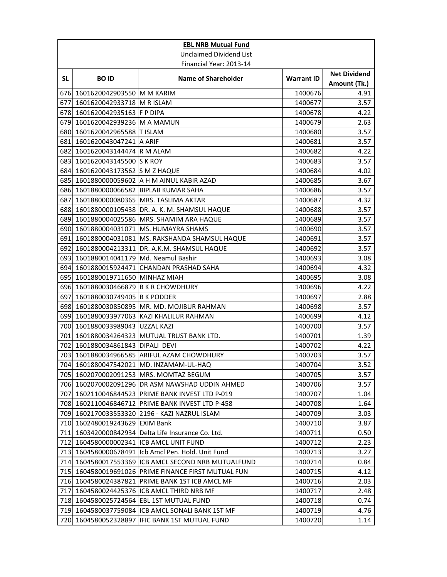| <b>EBL NRB Mutual Fund</b> |                                      |                                                    |                   |                                     |
|----------------------------|--------------------------------------|----------------------------------------------------|-------------------|-------------------------------------|
| Unclaimed Dividend List    |                                      |                                                    |                   |                                     |
|                            |                                      | Financial Year: 2013-14                            |                   |                                     |
| <b>SL</b>                  | <b>BOID</b>                          | <b>Name of Shareholder</b>                         | <b>Warrant ID</b> | <b>Net Dividend</b><br>Amount (Tk.) |
| 676I                       | 1601620042903550 M M KARIM           |                                                    | 1400676           | 4.91                                |
| 677                        | 1601620042933718 M R ISLAM           |                                                    | 1400677           | 3.57                                |
|                            | 678 1601620042935163 F P DIPA        |                                                    | 1400678           | 4.22                                |
|                            | 679 1601620042939236 M A MAMUN       |                                                    | 1400679           | 2.63                                |
|                            | 680 1601620042965588 T ISLAM         |                                                    | 1400680           | 3.57                                |
| 681                        | 1601620043047241 A ARIF              |                                                    | 1400681           | 3.57                                |
| 682                        | 1601620043144474 R M ALAM            |                                                    | 1400682           | 4.22                                |
|                            | 683 1601620043145500 S K ROY         |                                                    | 1400683           | 3.57                                |
| 684I                       | 1601620043173562 S M Z HAQUE         |                                                    | 1400684           | 4.02                                |
| 685                        |                                      | 1601880000059602 A H M AINUL KABIR AZAD            | 1400685           | 3.67                                |
|                            |                                      | 686 1601880000066582 BIPLAB KUMAR SAHA             | 1400686           | 3.57                                |
| 687                        |                                      | 1601880000080365 MRS. TASLIMA AKTAR                | 1400687           | 4.32                                |
|                            |                                      | 688 1601880000105438 DR. A. K. M. SHAMSUL HAQUE    | 1400688           | 3.57                                |
| 689                        |                                      | 1601880004025586 MRS. SHAMIM ARA HAQUE             | 1400689           | 3.57                                |
| 690I                       |                                      | 1601880004031071   MS. HUMAYRA SHAMS               | 1400690           | 3.57                                |
| 691                        |                                      | 1601880004031081   MS. RAKSHANDA SHAMSUL HAQUE     | 1400691           | 3.57                                |
| 692                        |                                      | 1601880004213311 DR. A.K.M. SHAMSUL HAQUE          | 1400692           | 3.57                                |
| 693I                       | 1601880014041179 Md. Neamul Bashir   |                                                    | 1400693           | 3.08                                |
| 694 I                      |                                      | 1601880015924471 CHANDAN PRASHAD SAHA              | 1400694           | 4.32                                |
|                            | 695 1601880019711650 MINHAZ MIAH     |                                                    | 1400695           | 3.08                                |
|                            | 696 1601880030466879 B K R CHOWDHURY |                                                    | 1400696           | 4.22                                |
| 697                        | 1601880030749405 B K PODDER          |                                                    | 1400697           | 2.88                                |
| 698I                       |                                      | 1601880030850895   MR. MD. MOJIBUR RAHMAN          | 1400698           | 3.57                                |
| 699                        |                                      | 1601880033977063 KAZI KHALILUR RAHMAN              | 1400699           | 4.12                                |
|                            | 700 1601880033989043 UZZAL KAZI      |                                                    | 1400700           | 3.57                                |
| 701                        |                                      | 1601880034264323 MUTUAL TRUST BANK LTD.            | 1400701           | 1.39                                |
| 702                        | 1601880034861843 DIPALI DEVI         |                                                    | 1400702           | 4.22                                |
| 703                        |                                      | 1601880034966585 ARIFUL AZAM CHOWDHURY             | 1400703           | 3.57                                |
|                            |                                      | 704 1601880047542021 MD. INZAMAM-UL-HAQ            | 1400704           | 3.52                                |
|                            |                                      | 705 1602070002091253 MRS. MOMTAZ BEGUM             | 1400705           | 3.57                                |
|                            |                                      | 706 1602070002091296 DR ASM NAWSHAD UDDIN AHMED    | 1400706           | 3.57                                |
| 707                        |                                      | 1602110046844523 PRIME BANK INVEST LTD P-019       | 1400707           | 1.04                                |
|                            |                                      | 708 1602110046846712 PRIME BANK INVEST LTD P-458   | 1400708           | 1.64                                |
|                            |                                      | 709 1602170033553320 2196 - KAZI NAZRUL ISLAM      | 1400709           | 3.03                                |
|                            | 710 1602480019243629 EXIM Bank       |                                                    | 1400710           | 3.87                                |
| 711                        |                                      | 1603420000842934 Delta Life Insurance Co. Ltd.     | 1400711           | 0.50                                |
| 712                        |                                      | 1604580000002341 ICB AMCL UNIT FUND                | 1400712           | 2.23                                |
|                            |                                      | 713 1604580000678491 Icb Amcl Pen. Hold. Unit Fund | 1400713           | 3.27                                |
| 714                        |                                      | 1604580017553369 ICB AMCL SECOND NRB MUTUALFUND    | 1400714           | 0.84                                |
| 715                        |                                      | 1604580019691026 PRIME FINANCE FIRST MUTUAL FUN    | 1400715           | 4.12                                |
| 716                        |                                      | 1604580024387821 PRIME BANK 1ST ICB AMCL MF        | 1400716           | 2.03                                |
| 717                        |                                      | 1604580024425376 ICB AMCL THIRD NRB MF             | 1400717           | 2.48                                |
|                            |                                      | 718 1604580025724564 EBL 1ST MUTUAL FUND           | 1400718           | 0.74                                |
| 719 <b>1</b>               |                                      | 1604580037759084 ICB AMCL SONALI BANK 1ST MF       | 1400719           | 4.76                                |
| 720                        | 1604580052328897                     | IFIC BANK 1ST MUTUAL FUND                          | 1400720           | 1.14                                |